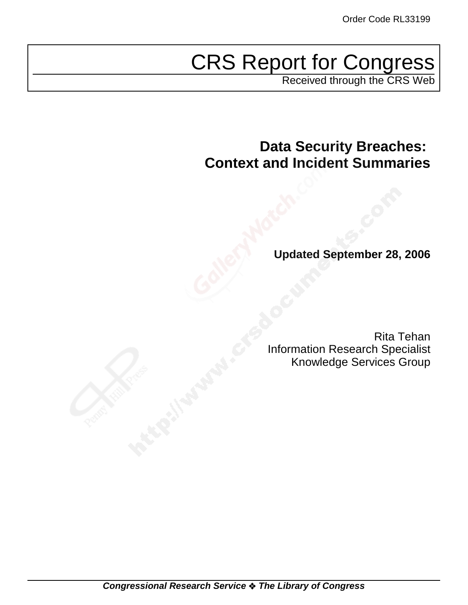# CRS Report for Congress

Received through the CRS Web

**Data Security Breaches: Context and Incident Summaries**

**Updated September 28, 2006**

Rita Tehan Information Research Specialist Knowledge Services Group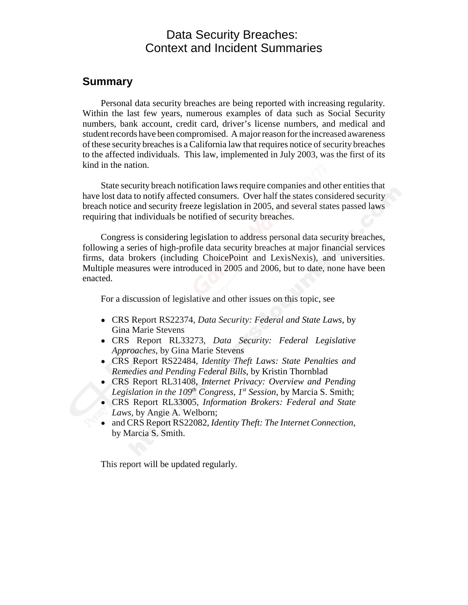### Data Security Breaches: Context and Incident Summaries

### **Summary**

Personal data security breaches are being reported with increasing regularity. Within the last few years, numerous examples of data such as Social Security numbers, bank account, credit card, driver's license numbers, and medical and student records have been compromised. A major reason for the increased awareness of these security breaches is a California law that requires notice of security breaches to the affected individuals. This law, implemented in July 2003, was the first of its kind in the nation.

State security breach notification laws require companies and other entities that have lost data to notify affected consumers. Over half the states considered security breach notice and security freeze legislation in 2005, and several states passed laws requiring that individuals be notified of security breaches.

Congress is considering legislation to address personal data security breaches, following a series of high-profile data security breaches at major financial services firms, data brokers (including ChoicePoint and LexisNexis), and universities. Multiple measures were introduced in 2005 and 2006, but to date, none have been enacted.

For a discussion of legislative and other issues on this topic, see

- ! CRS Report RS22374, *Data Security: Federal and State Laws*, by Gina Marie Stevens
- ! CRS Report RL33273, *Data Security: Federal Legislative Approaches*, by Gina Marie Stevens
- ! CRS Report RS22484, *Identity Theft Laws: State Penalties and Remedies and Pending Federal Bills*, by Kristin Thornblad
- ! CRS Report RL31408, *Internet Privacy: Overview and Pending* Legislation in the 109<sup>th</sup> Congress, 1<sup>st</sup> Session, by Marcia S. Smith;
- ! CRS Report RL33005, *Information Brokers: Federal and State Laws*, by Angie A. Welborn;
- ! and CRS Report RS22082, *Identity Theft: The Internet Connection*, by Marcia S. Smith.

This report will be updated regularly.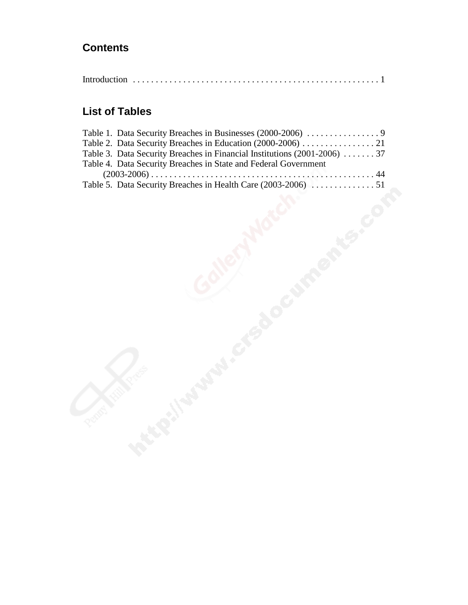## **Contents**

|--|--|

### **List of Tables**

| Table 2. Data Security Breaches in Education (2000-2006) 21              |  |
|--------------------------------------------------------------------------|--|
| Table 3. Data Security Breaches in Financial Institutions (2001-2006) 37 |  |
| Table 4. Data Security Breaches in State and Federal Government          |  |
|                                                                          |  |
|                                                                          |  |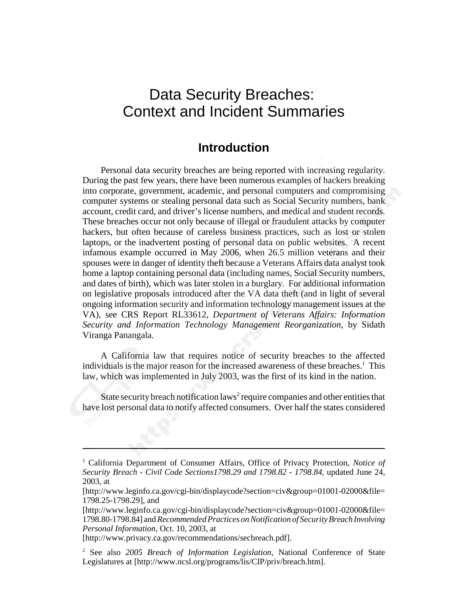# Data Security Breaches: Context and Incident Summaries

### **Introduction**

Personal data security breaches are being reported with increasing regularity. During the past few years, there have been numerous examples of hackers breaking into corporate, government, academic, and personal computers and compromising computer systems or stealing personal data such as Social Security numbers, bank account, credit card, and driver's license numbers, and medical and student records. These breaches occur not only because of illegal or fraudulent attacks by computer hackers, but often because of careless business practices, such as lost or stolen laptops, or the inadvertent posting of personal data on public websites. A recent infamous example occurred in May 2006, when 26.5 million veterans and their spouses were in danger of identity theft because a Veterans Affairs data analyst took home a laptop containing personal data (including names, Social Security numbers, and dates of birth), which was later stolen in a burglary. For additional information on legislative proposals introduced after the VA data theft (and in light of several ongoing information security and information technology management issues at the VA), see CRS Report RL33612, *Department of Veterans Affairs: Information Security and Information Technology Management Reorganization*, by Sidath Viranga Panangala.

A California law that requires notice of security breaches to the affected individuals is the major reason for the increased awareness of these breaches.<sup>1</sup> This law, which was implemented in July 2003, was the first of its kind in the nation.

State security breach notification laws<sup>2</sup> require companies and other entities that have lost personal data to notify affected consumers. Over half the states considered

<sup>&</sup>lt;sup>1</sup> California Department of Consumer Affairs, Office of Privacy Protection, Notice of *Security Breach - Civil Code Sections1798.29 and 1798.82 - 1798.84*, updated June 24, 2003, at

<sup>[</sup>http://www.leginfo.ca.gov/cgi-bin/displaycode?section=civ&group=01001-02000&file= 1798.25-1798.29], and

<sup>[</sup>http://www.leginfo.ca.gov/cgi-bin/displaycode?section=civ&group=01001-02000&file= 1798.80-1798.84] and *Recommended Practices on Notification of Security Breach Involving Personal Information*, Oct. 10, 2003, at

<sup>[</sup>http://www.privacy.ca.gov/recommendations/secbreach.pdf].

<sup>2</sup> See also *2005 Breach of Information Legislation*, National Conference of State Legislatures at [http://www.ncsl.org/programs/lis/CIP/priv/breach.htm].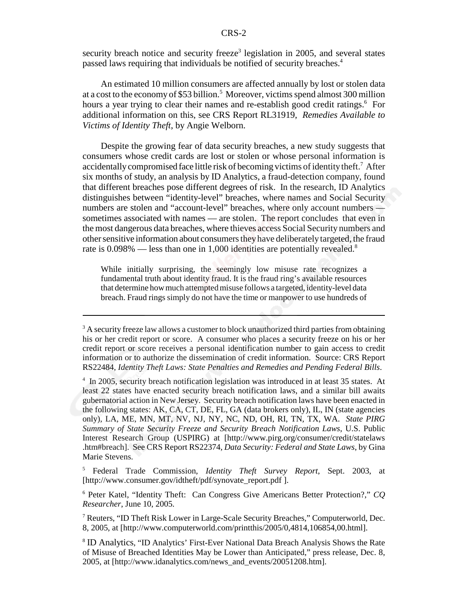security breach notice and security freeze<sup>3</sup> legislation in 2005, and several states passed laws requiring that individuals be notified of security breaches.<sup>4</sup>

An estimated 10 million consumers are affected annually by lost or stolen data at a cost to the economy of \$53 billion.<sup>5</sup> Moreover, victims spend almost 300 million hours a year trying to clear their names and re-establish good credit ratings.<sup>6</sup> For additional information on this, see CRS Report RL31919, *Remedies Available to Victims of Identity Theft*, by Angie Welborn.

Despite the growing fear of data security breaches, a new study suggests that consumers whose credit cards are lost or stolen or whose personal information is accidentally compromised face little risk of becoming victims of identity theft.<sup>7</sup> After six months of study, an analysis by ID Analytics, a fraud-detection company, found that different breaches pose different degrees of risk. In the research, ID Analytics distinguishes between "identity-level" breaches, where names and Social Security numbers are stolen and "account-level" breaches, where only account numbers sometimes associated with names — are stolen. The report concludes that even in the most dangerous data breaches, where thieves access Social Security numbers and other sensitive information about consumers they have deliberately targeted, the fraud rate is  $0.098\%$  — less than one in 1,000 identities are potentially revealed.<sup>8</sup>

While initially surprising, the seemingly low misuse rate recognizes a fundamental truth about identity fraud. It is the fraud ring's available resources that determine how much attempted misuse follows a targeted, identity-level data breach. Fraud rings simply do not have the time or manpower to use hundreds of

5 Federal Trade Commission, *Identity Theft Survey Report*, Sept. 2003, at [http://www.consumer.gov/idtheft/pdf/synovate\_report.pdf ].

6 Peter Katel, "Identity Theft: Can Congress Give Americans Better Protection?," *CQ Researcher*, June 10, 2005.

 $3$  A security freeze law allows a customer to block unauthorized third parties from obtaining his or her credit report or score. A consumer who places a security freeze on his or her credit report or score receives a personal identification number to gain access to credit information or to authorize the dissemination of credit information. Source: CRS Report RS22484, *Identity Theft Laws: State Penalties and Remedies and Pending Federal Bills*.

<sup>&</sup>lt;sup>4</sup> In 2005, security breach notification legislation was introduced in at least 35 states. At least 22 states have enacted security breach notification laws, and a similar bill awaits gubernatorial action in New Jersey. Security breach notification laws have been enacted in the following states: AK, CA, CT, DE, FL, GA (data brokers only), IL, IN (state agencies only), LA, ME, MN, MT, NV, NJ, NY, NC, ND, OH, RI, TN, TX, WA. *State PIRG Summary of State Security Freeze and Security Breach Notification Laws*, U.S. Public Interest Research Group (USPIRG) at [http://www.pirg.org/consumer/credit/statelaws .htm#breach]. See CRS Report RS22374, *Data Security: Federal and State Laws*, by Gina Marie Stevens.

<sup>&</sup>lt;sup>7</sup> Reuters, "ID Theft Risk Lower in Large-Scale Security Breaches," Computerworld, Dec. 8, 2005, at [http://www.computerworld.com/printthis/2005/0,4814,106854,00.html].

<sup>8</sup> ID Analytics, "ID Analytics' First-Ever National Data Breach Analysis Shows the Rate of Misuse of Breached Identities May be Lower than Anticipated," press release, Dec. 8, 2005, at [http://www.idanalytics.com/news\_and\_events/20051208.htm].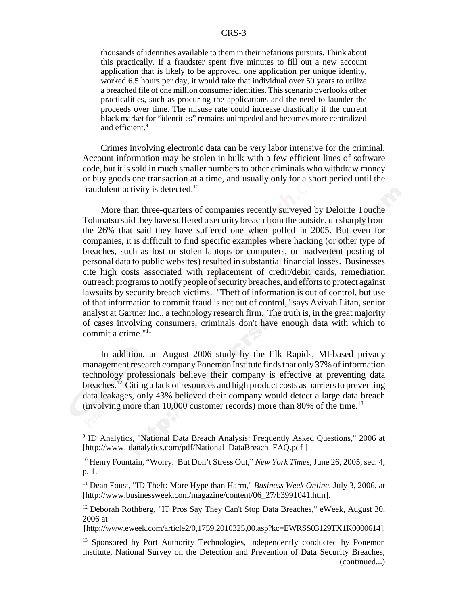thousands of identities available to them in their nefarious pursuits. Think about this practically. If a fraudster spent five minutes to fill out a new account application that is likely to be approved, one application per unique identity, worked 6.5 hours per day, it would take that individual over 50 years to utilize a breached file of one million consumer identities. This scenario overlooks other practicalities, such as procuring the applications and the need to launder the proceeds over time. The misuse rate could increase drastically if the current black market for "identities" remains unimpeded and becomes more centralized and efficient.<sup>9</sup>

Crimes involving electronic data can be very labor intensive for the criminal. Account information may be stolen in bulk with a few efficient lines of software code, but it is sold in much smaller numbers to other criminals who withdraw money or buy goods one transaction at a time, and usually only for a short period until the fraudulent activity is detected.<sup>10</sup>

More than three-quarters of companies recently surveyed by Deloitte Touche Tohmatsu said they have suffered a security breach from the outside, up sharply from the 26% that said they have suffered one when polled in 2005. But even for companies, it is difficult to find specific examples where hacking (or other type of breaches, such as lost or stolen laptops or computers, or inadvertent posting of personal data to public websites) resulted in substantial financial losses. Businesses cite high costs associated with replacement of credit/debit cards, remediation outreach programs to notify people of security breaches, and efforts to protect against lawsuits by security breach victims. "Theft of information is out of control, but use of that information to commit fraud is not out of control," says Avivah Litan, senior analyst at Gartner Inc., a technology research firm. The truth is, in the great majority of cases involving consumers, criminals don't have enough data with which to commit a crime."11

In addition, an August 2006 study by the Elk Rapids, MI-based privacy management research company Ponemon Institute finds that only 37% of information technology professionals believe their company is effective at preventing data breaches.12 Citing a lack of resources and high product costs as barriers to preventing data leakages, only 43% believed their company would detect a large data breach (involving more than  $10,000$  customer records) more than 80% of the time.<sup>13</sup>

<sup>&</sup>lt;sup>9</sup> ID Analytics, "National Data Breach Analysis: Frequently Asked Questions," 2006 at [http://www.idanalytics.com/pdf/National\_DataBreach\_FAQ.pdf ]

<sup>10</sup> Henry Fountain, "Worry. But Don't Stress Out," *New York Times*, June 26, 2005, sec. 4, p. 1.

<sup>11</sup> Dean Foust, "ID Theft: More Hype than Harm," *Business Week Online*, July 3, 2006, at [http://www.businessweek.com/magazine/content/06\_27/b3991041.htm].

<sup>&</sup>lt;sup>12</sup> Deborah Rothberg, "IT Pros Say They Can't Stop Data Breaches," eWeek, August 30, 2006 at

 <sup>[</sup>http://www.eweek.com/article2/0,1759,2010325,00.asp?kc=EWRSS03129TX1K0000614].

<sup>&</sup>lt;sup>13</sup> Sponsored by Port Authority Technologies, independently conducted by Ponemon Institute, National Survey on the Detection and Prevention of Data Security Breaches, (continued...)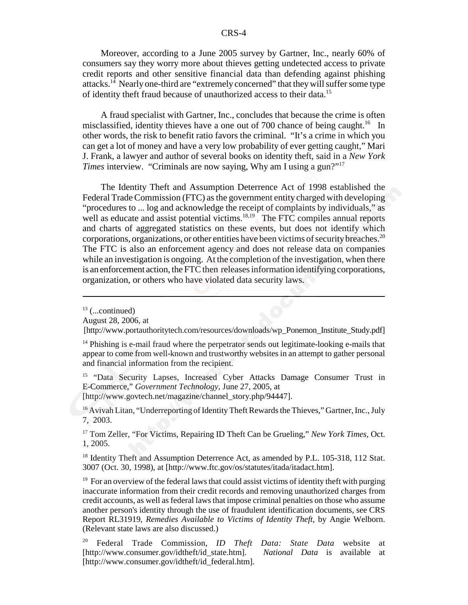Moreover, according to a June 2005 survey by Gartner, Inc., nearly 60% of consumers say they worry more about thieves getting undetected access to private credit reports and other sensitive financial data than defending against phishing attacks.<sup>14</sup> Nearly one-third are "extremely concerned" that they will suffer some type of identity theft fraud because of unauthorized access to their data.15

A fraud specialist with Gartner, Inc., concludes that because the crime is often misclassified, identity thieves have a one out of 700 chance of being caught.<sup>16</sup> In other words, the risk to benefit ratio favors the criminal. "It's a crime in which you can get a lot of money and have a very low probability of ever getting caught," Mari J. Frank, a lawyer and author of several books on identity theft, said in a *New York Times* interview. "Criminals are now saying, Why am I using a gun?"<sup>17</sup>

The Identity Theft and Assumption Deterrence Act of 1998 established the Federal Trade Commission (FTC) as the government entity charged with developing "procedures to ... log and acknowledge the receipt of complaints by individuals," as well as educate and assist potential victims.<sup>18,19</sup> The FTC compiles annual reports and charts of aggregated statistics on these events, but does not identify which corporations, organizations, or other entities have been victims of security breaches.<sup>20</sup> The FTC is also an enforcement agency and does not release data on companies while an investigation is ongoing. At the completion of the investigation, when there is an enforcement action, the FTC then releases information identifying corporations, organization, or others who have violated data security laws.

<sup>15</sup> "Data Security Lapses, Increased Cyber Attacks Damage Consumer Trust in E-Commerce," *Government Technology*, June 27, 2005, at

[http://www.govtech.net/magazine/channel\_story.php/94447].

<sup>16</sup> Avivah Litan, "Underreporting of Identity Theft Rewards the Thieves," Gartner, Inc., July 7, 2003.

17 Tom Zeller, "For Victims, Repairing ID Theft Can be Grueling," *New York Times*, Oct. 1, 2005.

<sup>18</sup> Identity Theft and Assumption Deterrence Act, as amended by P.L. 105-318, 112 Stat. 3007 (Oct. 30, 1998), at [http://www.ftc.gov/os/statutes/itada/itadact.htm].

 $19$  For an overview of the federal laws that could assist victims of identity theft with purging inaccurate information from their credit records and removing unauthorized charges from credit accounts, as well as federal laws that impose criminal penalties on those who assume another person's identity through the use of fraudulent identification documents, see CRS Report RL31919, *Remedies Available to Victims of Identity Theft*, by Angie Welborn. (Relevant state laws are also discussed.)

 $13$  (...continued)

August 28, 2006, at

 <sup>[</sup>http://www.portauthoritytech.com/resources/downloads/wp\_Ponemon\_Institute\_Study.pdf]

<sup>&</sup>lt;sup>14</sup> Phishing is e-mail fraud where the perpetrator sends out legitimate-looking e-mails that appear to come from well-known and trustworthy websites in an attempt to gather personal and financial information from the recipient.

<sup>20</sup> Federal Trade Commission, *ID Theft Data: State Data* website at [http://www.consumer.gov/idtheft/id\_state.htm]. *National Data* is available at [http://www.consumer.gov/idtheft/id\_federal.htm].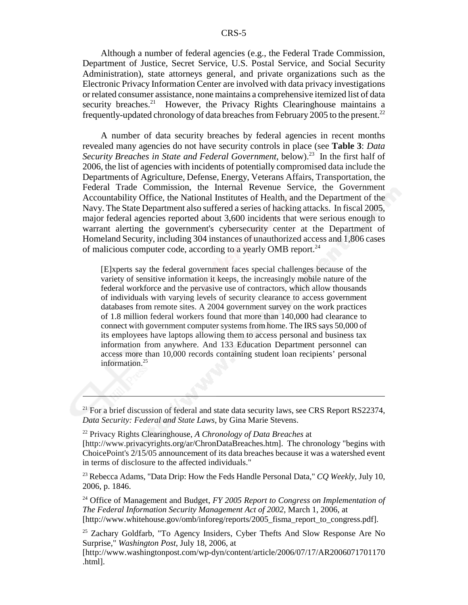Although a number of federal agencies (e.g., the Federal Trade Commission, Department of Justice, Secret Service, U.S. Postal Service, and Social Security Administration), state attorneys general, and private organizations such as the Electronic Privacy Information Center are involved with data privacy investigations or related consumer assistance, none maintains a comprehensive itemized list of data security breaches.<sup>21</sup> However, the Privacy Rights Clearinghouse maintains a frequently-updated chronology of data breaches from February 2005 to the present.22

A number of data security breaches by federal agencies in recent months revealed many agencies do not have security controls in place (see **Table 3**: *Data Security Breaches in State and Federal Government*, below).<sup>23</sup> In the first half of 2006, the list of agencies with incidents of potentially compromised data include the Departments of Agriculture, Defense, Energy, Veterans Affairs, Transportation, the Federal Trade Commission, the Internal Revenue Service, the Government Accountability Office, the National Institutes of Health, and the Department of the Navy. The State Department also suffered a series of hacking attacks. In fiscal 2005, major federal agencies reported about 3,600 incidents that were serious enough to warrant alerting the government's cybersecurity center at the Department of Homeland Security, including 304 instances of unauthorized access and 1,806 cases of malicious computer code, according to a yearly OMB report.24

[E]xperts say the federal government faces special challenges because of the variety of sensitive information it keeps, the increasingly mobile nature of the federal workforce and the pervasive use of contractors, which allow thousands of individuals with varying levels of security clearance to access government databases from remote sites. A 2004 government survey on the work practices of 1.8 million federal workers found that more than 140,000 had clearance to connect with government computer systems from home. The IRS says 50,000 of its employees have laptops allowing them to access personal and business tax information from anywhere. And 133 Education Department personnel can access more than 10,000 records containing student loan recipients' personal information.<sup>25</sup>

 $^{21}$  For a brief discussion of federal and state data security laws, see CRS Report RS22374, *Data Security: Federal and State Laws*, by Gina Marie Stevens.

<sup>22</sup> Privacy Rights Clearinghouse, *A Chronology of Data Breaches* at [http://www.privacyrights.org/ar/ChronDataBreaches.htm]. The chronology "begins with ChoicePoint's 2/15/05 announcement of its data breaches because it was a watershed event in terms of disclosure to the affected individuals."

<sup>23</sup> Rebecca Adams, "Data Drip: How the Feds Handle Personal Data," *CQ Weekly*, July 10, 2006, p. 1846.

<sup>24</sup> Office of Management and Budget, *FY 2005 Report to Congress on Implementation of The Federal Information Security Management Act of 2002*, March 1, 2006, at [http://www.whitehouse.gov/omb/inforeg/reports/2005\_fisma\_report\_to\_congress.pdf].

<sup>&</sup>lt;sup>25</sup> Zachary Goldfarb, "To Agency Insiders, Cyber Thefts And Slow Response Are No Surprise," *Washington Post*, July 18, 2006, at

<sup>[</sup>http://www.washingtonpost.com/wp-dyn/content/article/2006/07/17/AR2006071701170 .html].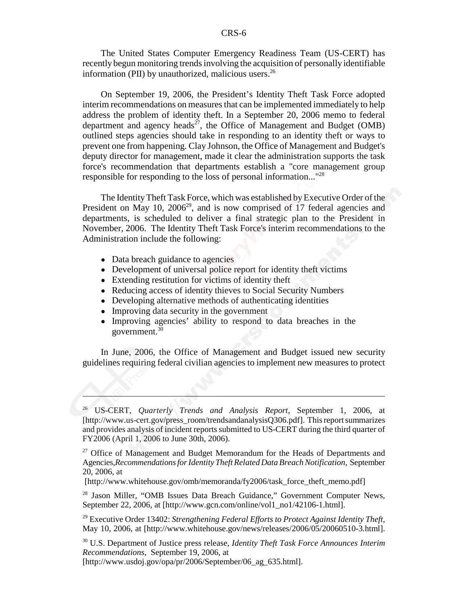The United States Computer Emergency Readiness Team (US-CERT) has recently begun monitoring trends involving the acquisition of personally identifiable information (PII) by unauthorized, malicious users. $^{26}$ 

On September 19, 2006, the President's Identity Theft Task Force adopted interim recommendations on measures that can be implemented immediately to help address the problem of identity theft. In a September 20, 2006 memo to federal department and agency heads<sup>27</sup>, the Office of Management and Budget (OMB) outlined steps agencies should take in responding to an identity theft or ways to prevent one from happening. Clay Johnson, the Office of Management and Budget's deputy director for management, made it clear the administration supports the task force's recommendation that departments establish a "core management group responsible for responding to the loss of personal information..."28

The Identity Theft Task Force, which was established by Executive Order of the President on May 10,  $2006^{29}$ , and is now comprised of 17 federal agencies and departments, is scheduled to deliver a final strategic plan to the President in November, 2006. The Identity Theft Task Force's interim recommendations to the Administration include the following:

- Data breach guidance to agencies
- Development of universal police report for identity theft victims
- Extending restitution for victims of identity theft
- Reducing access of identity thieves to Social Security Numbers
- Developing alternative methods of authenticating identities
- Improving data security in the government
- Improving agencies' ability to respond to data breaches in the government.<sup>30</sup>

In June, 2006, the Office of Management and Budget issued new security guidelines requiring federal civilian agencies to implement new measures to protect

[http://www.whitehouse.gov/omb/memoranda/fy2006/task\_force\_theft\_memo.pdf]

<sup>28</sup> Jason Miller, "OMB Issues Data Breach Guidance," Government Computer News, September 22, 2006, at [http://www.gcn.com/online/vol1\_no1/42106-1.html].

29 Executive Order 13402: *Strengthening Federal Efforts to Protect Against Identity Theft*, May 10, 2006, at [http://www.whitehouse.gov/news/releases/2006/05/20060510-3.html].

30 U.S. Department of Justice press release, *Identity Theft Task Force Announces Interim Recommendations*, September 19, 2006, at

[http://www.usdoj.gov/opa/pr/2006/September/06\_ag\_635.html].

<sup>26</sup> US-CERT, *Quarterly Trends and Analysis Report*, September 1, 2006, at [http://www.us-cert.gov/press\_room/trendsandanalysisQ306.pdf]. This report summarizes and provides analysis of incident reports submitted to US-CERT during the third quarter of FY2006 (April 1, 2006 to June 30th, 2006).

<sup>&</sup>lt;sup>27</sup> Office of Management and Budget Memorandum for the Heads of Departments and Agencies,*Recommendations for Identity Theft Related Data Breach Notification*, September 20, 2006, at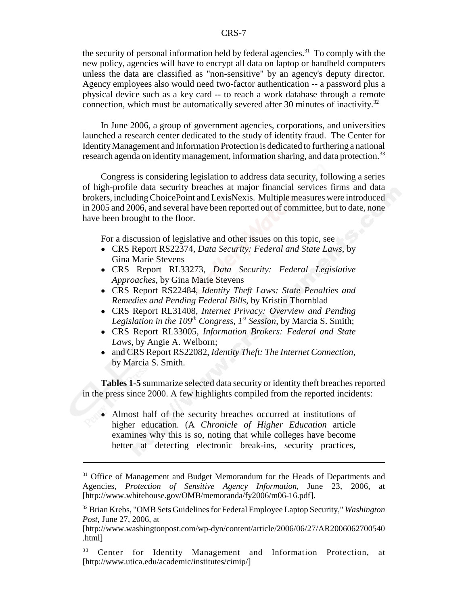the security of personal information held by federal agencies.<sup>31</sup> To comply with the new policy, agencies will have to encrypt all data on laptop or handheld computers unless the data are classified as "non-sensitive" by an agency's deputy director. Agency employees also would need two-factor authentication -- a password plus a physical device such as a key card -- to reach a work database through a remote connection, which must be automatically severed after 30 minutes of inactivity.<sup>32</sup>

In June 2006, a group of government agencies, corporations, and universities launched a research center dedicated to the study of identity fraud. The Center for Identity Management and Information Protection is dedicated to furthering a national research agenda on identity management, information sharing, and data protection.<sup>33</sup>

Congress is considering legislation to address data security, following a series of high-profile data security breaches at major financial services firms and data brokers, including ChoicePoint and LexisNexis. Multiple measures were introduced in 2005 and 2006, and several have been reported out of committee, but to date, none have been brought to the floor.

For a discussion of legislative and other issues on this topic, see

- ! CRS Report RS22374, *Data Security: Federal and State Laws*, by Gina Marie Stevens
- ! CRS Report RL33273, *Data Security: Federal Legislative Approaches*, by Gina Marie Stevens
- ! CRS Report RS22484, *Identity Theft Laws: State Penalties and Remedies and Pending Federal Bills*, by Kristin Thornblad
- ! CRS Report RL31408, *Internet Privacy: Overview and Pending* Legislation in the  $109<sup>th</sup> Congress, 1<sup>st</sup> Session, by Marcia S. Smith;$
- ! CRS Report RL33005, *Information Brokers: Federal and State Laws*, by Angie A. Welborn;
- ! and CRS Report RS22082, *Identity Theft: The Internet Connection*, by Marcia S. Smith.

**Tables 1-5** summarize selected data security or identity theft breaches reported in the press since 2000. A few highlights compiled from the reported incidents:

! Almost half of the security breaches occurred at institutions of higher education. (A *Chronicle of Higher Education* article examines why this is so, noting that while colleges have become better at detecting electronic break-ins, security practices,

<sup>&</sup>lt;sup>31</sup> Office of Management and Budget Memorandum for the Heads of Departments and Agencies, *Protection of Sensitive Agency Information*, June 23, 2006, at [http://www.whitehouse.gov/OMB/memoranda/fy2006/m06-16.pdf].

<sup>32</sup> Brian Krebs, "OMB Sets Guidelines for Federal Employee Laptop Security," *Washington Post*, June 27, 2006, at

<sup>[</sup>http://www.washingtonpost.com/wp-dyn/content/article/2006/06/27/AR2006062700540 .html]

<sup>&</sup>lt;sup>33</sup> Center for Identity Management and Information Protection, at [http://www.utica.edu/academic/institutes/cimip/]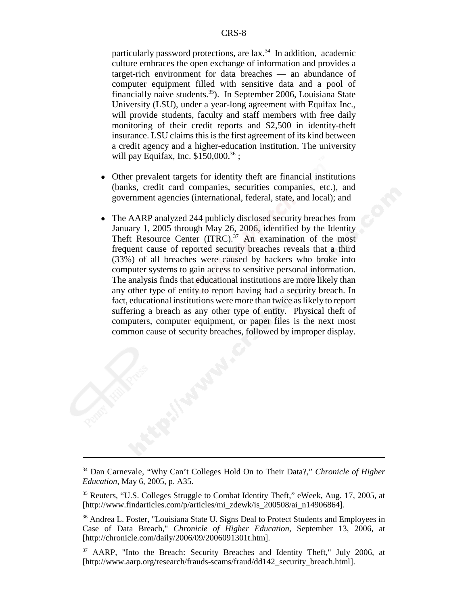particularly password protections, are  $lax$ <sup>34</sup> In addition, academic culture embraces the open exchange of information and provides a target-rich environment for data breaches — an abundance of computer equipment filled with sensitive data and a pool of financially naive students.<sup>35</sup>). In September 2006, Louisiana State University (LSU), under a year-long agreement with Equifax Inc., will provide students, faculty and staff members with free daily monitoring of their credit reports and \$2,500 in identity-theft insurance. LSU claims this is the first agreement of its kind between a credit agency and a higher-education institution. The university will pay Equifax, Inc.  $$150,000.<sup>36</sup>$ ;

- ! Other prevalent targets for identity theft are financial institutions (banks, credit card companies, securities companies, etc.), and government agencies (international, federal, state, and local); and
- ! The AARP analyzed 244 publicly disclosed security breaches from January 1, 2005 through May 26, 2006, identified by the Identity Theft Resource Center  $(ITRC).<sup>37</sup>$  An examination of the most frequent cause of reported security breaches reveals that a third (33%) of all breaches were caused by hackers who broke into computer systems to gain access to sensitive personal information. The analysis finds that educational institutions are more likely than any other type of entity to report having had a security breach. In fact, educational institutions were more than twice as likely to report suffering a breach as any other type of entity. Physical theft of computers, computer equipment, or paper files is the next most common cause of security breaches, followed by improper display.

<sup>34</sup> Dan Carnevale, "Why Can't Colleges Hold On to Their Data?," *Chronicle of Higher Education*, May 6, 2005, p. A35.

<sup>&</sup>lt;sup>35</sup> Reuters, "U.S. Colleges Struggle to Combat Identity Theft," eWeek, Aug. 17, 2005, at [http://www.findarticles.com/p/articles/mi\_zdewk/is\_200508/ai\_n14906864].

<sup>36</sup> Andrea L. Foster, "Louisiana State U. Signs Deal to Protect Students and Employees in Case of Data Breach," *Chronicle of Higher Education*, September 13, 2006, at [http://chronicle.com/daily/2006/09/2006091301t.htm].

<sup>&</sup>lt;sup>37</sup> AARP, "Into the Breach: Security Breaches and Identity Theft," July 2006, at [http://www.aarp.org/research/frauds-scams/fraud/dd142\_security\_breach.html].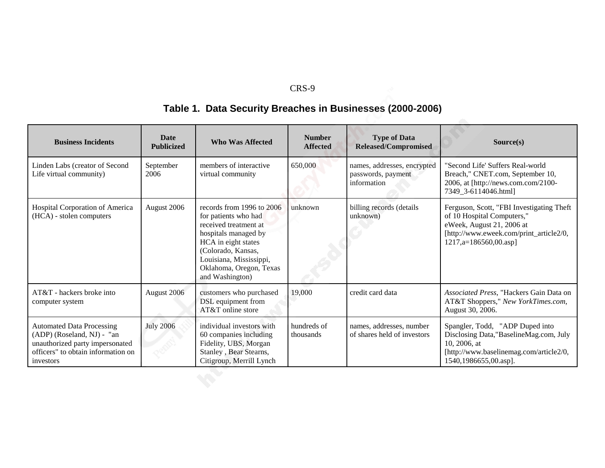# **Table 1. Data Security Breaches in Businesses (2000-2006)**

| <b>Business Incidents</b>                                                                                                                            | <b>Date</b><br><b>Publicized</b> | <b>Who Was Affected</b>                                                                                                                                                                                                  | <b>Number</b><br><b>Affected</b> | <b>Type of Data</b><br><b>Released/Compromised</b>               | Source(s)                                                                                                                                                                     |
|------------------------------------------------------------------------------------------------------------------------------------------------------|----------------------------------|--------------------------------------------------------------------------------------------------------------------------------------------------------------------------------------------------------------------------|----------------------------------|------------------------------------------------------------------|-------------------------------------------------------------------------------------------------------------------------------------------------------------------------------|
| Linden Labs (creator of Second<br>Life virtual community)                                                                                            | September<br>2006                | members of interactive<br>virtual community                                                                                                                                                                              | 650,000                          | names, addresses, encrypted<br>passwords, payment<br>information | "Second Life' Suffers Real-world<br>Breach," CNET.com, September 10,<br>2006, at [http://news.com.com/2100-<br>7349 3-6114046.html                                            |
| Hospital Corporation of America<br>(HCA) - stolen computers                                                                                          | August 2006                      | records from 1996 to 2006<br>for patients who had<br>received treatment at<br>hospitals managed by<br>HCA in eight states<br>(Colorado, Kansas,<br>Louisiana, Mississippi,<br>Oklahoma, Oregon, Texas<br>and Washington) | unknown                          | billing records (details<br>unknown)                             | Ferguson, Scott, "FBI Investigating Theft<br>of 10 Hospital Computers,"<br>eWeek, August 21, 2006 at<br>[http://www.eweek.com/print_article2/0,<br>$1217$ , a=186560,00. asp] |
| AT&T - hackers broke into<br>computer system                                                                                                         | August 2006                      | customers who purchased<br>DSL equipment from<br>AT&T online store                                                                                                                                                       | 19,000                           | credit card data                                                 | Associated Press, "Hackers Gain Data on<br>AT&T Shoppers," New YorkTimes.com,<br>August 30, 2006.                                                                             |
| <b>Automated Data Processing</b><br>(ADP) (Roseland, NJ) - "an<br>unauthorized party impersonated<br>officers" to obtain information on<br>investors | <b>July 2006</b>                 | individual investors with<br>60 companies including<br>Fidelity, UBS, Morgan<br>Stanley, Bear Stearns,<br>Citigroup, Merrill Lynch                                                                                       | hundreds of<br>thousands         | names, addresses, number<br>of shares held of investors          | Spangler, Todd, "ADP Duped into<br>Disclosing Data,"BaselineMag.com, July<br>10, 2006, at<br>[http://www.baselinemag.com/article2/0,<br>1540,1986655,00.asp].                 |
|                                                                                                                                                      |                                  |                                                                                                                                                                                                                          |                                  |                                                                  |                                                                                                                                                                               |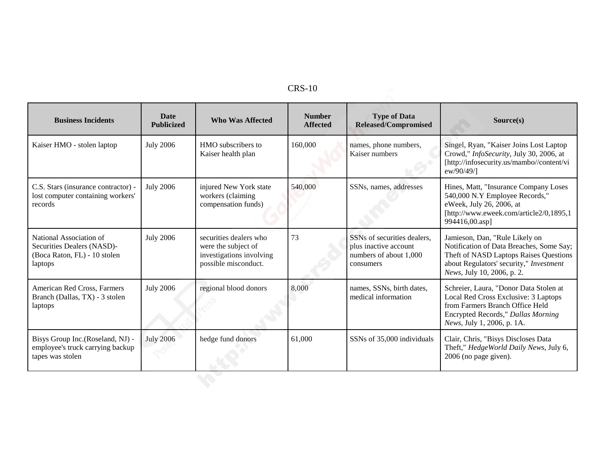| <b>Business Incidents</b>                                                                        | <b>Date</b><br><b>Publicized</b> | <b>Who Was Affected</b>                                                                           | <b>Number</b><br><b>Affected</b> | <b>Type of Data</b><br><b>Released/Compromised</b>                                          | Source(s)                                                                                                                                                                                     |
|--------------------------------------------------------------------------------------------------|----------------------------------|---------------------------------------------------------------------------------------------------|----------------------------------|---------------------------------------------------------------------------------------------|-----------------------------------------------------------------------------------------------------------------------------------------------------------------------------------------------|
| Kaiser HMO - stolen laptop                                                                       | <b>July 2006</b>                 | HMO subscribers to<br>Kaiser health plan                                                          | 160,000                          | names, phone numbers,<br>Kaiser numbers                                                     | Singel, Ryan, "Kaiser Joins Lost Laptop<br>Crowd," InfoSecurity, July 30, 2006, at<br>[http://infosecurity.us/mambo//content/vi<br>ew/90/49/                                                  |
| C.S. Stars (insurance contractor) -<br>lost computer containing workers'<br>records              | <b>July 2006</b>                 | injured New York state<br>workers (claiming<br>compensation funds)                                | 540,000                          | SSNs, names, addresses                                                                      | Hines, Matt, "Insurance Company Loses<br>540,000 N.Y Employee Records,"<br>eWeek, July 26, 2006, at<br>[http://www.eweek.com/article2/0,1895,1<br>994416,00.asp]                              |
| National Association of<br>Securities Dealers (NASD)-<br>(Boca Raton, FL) - 10 stolen<br>laptops | <b>July 2006</b>                 | securities dealers who<br>were the subject of<br>investigations involving<br>possible misconduct. | 73                               | SSNs of securities dealers,<br>plus inactive account<br>numbers of about 1,000<br>consumers | Jamieson, Dan, "Rule Likely on<br>Notification of Data Breaches, Some Say;<br>Theft of NASD Laptops Raises Questions<br>about Regulators' security," Investment<br>News, July 10, 2006, p. 2. |
| American Red Cross, Farmers<br>Branch (Dallas, TX) - 3 stolen<br>laptops                         | <b>July 2006</b>                 | regional blood donors                                                                             | 8,000                            | names, SSNs, birth dates,<br>medical information                                            | Schreier, Laura, "Donor Data Stolen at<br>Local Red Cross Exclusive: 3 Laptops<br>from Farmers Branch Office Held<br>Encrypted Records," Dallas Morning<br>News, July 1, 2006, p. 1A.         |
| Bisys Group Inc.(Roseland, NJ) -<br>employee's truck carrying backup<br>tapes was stolen         | <b>July 2006</b>                 | hedge fund donors                                                                                 | 61,000                           | SSNs of 35,000 individuals                                                                  | Clair, Chris, "Bisys Discloses Data<br>Theft," HedgeWorld Daily News, July 6,<br>$2006$ (no page given).                                                                                      |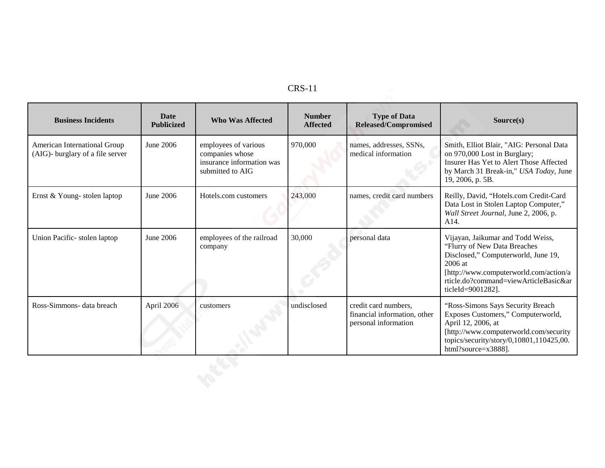| <b>Business Incidents</b>                                        | <b>Date</b><br><b>Publicized</b> | <b>Who Was Affected</b>                                                                  | <b>Number</b><br><b>Affected</b> | <b>Type of Data</b><br><b>Released/Compromised</b>                           | Source(s)                                                                                                                                                                                                                   |
|------------------------------------------------------------------|----------------------------------|------------------------------------------------------------------------------------------|----------------------------------|------------------------------------------------------------------------------|-----------------------------------------------------------------------------------------------------------------------------------------------------------------------------------------------------------------------------|
| American International Group<br>(AIG)- burglary of a file server | June 2006                        | employees of various<br>companies whose<br>insurance information was<br>submitted to AIG | 970,000                          | names, addresses, SSNs,<br>medical information                               | Smith, Elliot Blair, "AIG: Personal Data<br>on 970,000 Lost in Burglary;<br>Insurer Has Yet to Alert Those Affected<br>by March 31 Break-in," USA Today, June<br>19, 2006, p. 5B.                                           |
| Ernst & Young-stolen laptop                                      | June 2006                        | Hotels.com customers                                                                     | 243,000                          | names, credit card numbers                                                   | Reilly, David, "Hotels.com Credit-Card<br>Data Lost in Stolen Laptop Computer,"<br>Wall Street Journal, June 2, 2006, p.<br>A <sub>14</sub> .                                                                               |
| Union Pacific-stolen laptop                                      | June 2006                        | employees of the railroad<br>company                                                     | 30,000                           | personal data                                                                | Vijayan, Jaikumar and Todd Weiss,<br>"Flurry of New Data Breaches<br>Disclosed," Computerworld, June 19,<br>2006 at<br>[http://www.computerworld.com/action/a<br>rticle.do?command=viewArticleBasic&ar<br>ticleId=9001282]. |
| Ross-Simmons- data breach                                        | April 2006                       | customers                                                                                | undisclosed                      | credit card numbers,<br>financial information, other<br>personal information | "Ross-Simons Says Security Breach<br>Exposes Customers," Computerworld,<br>April 12, 2006, at<br>[http://www.computerworld.com/security<br>topics/security/story/0,10801,110425,00.<br>html?source=x3888].                  |
|                                                                  |                                  |                                                                                          |                                  |                                                                              |                                                                                                                                                                                                                             |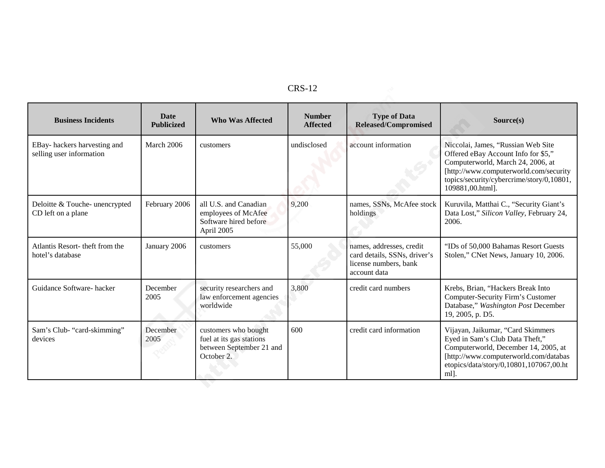| <b>Business Incidents</b>                               | <b>Date</b><br><b>Publicized</b> | <b>Who Was Affected</b>                                                                    | <b>Number</b><br><b>Affected</b> | <b>Type of Data</b><br><b>Released/Compromised</b>                                                | Source(s)                                                                                                                                                                                                                 |
|---------------------------------------------------------|----------------------------------|--------------------------------------------------------------------------------------------|----------------------------------|---------------------------------------------------------------------------------------------------|---------------------------------------------------------------------------------------------------------------------------------------------------------------------------------------------------------------------------|
| EBay-hackers harvesting and<br>selling user information | March 2006                       | customers                                                                                  | undisclosed                      | account information                                                                               | Niccolai, James, "Russian Web Site<br>Offered eBay Account Info for \$5,"<br>Computerworld, March 24, 2006, at<br>[http://www.computerworld.com/security<br>topics/security/cybercrime/story/0,10801,<br>109881,00.html]. |
| Deloitte & Touche- unencrypted<br>CD left on a plane    | February 2006                    | all U.S. and Canadian<br>employees of McAfee<br>Software hired before<br>April 2005        | 9,200                            | names, SSNs, McAfee stock<br>holdings                                                             | Kuruvila, Matthai C., "Security Giant's<br>Data Lost," Silicon Valley, February 24,<br>2006.                                                                                                                              |
| Atlantis Resort- theft from the<br>hotel's database     | January 2006                     | customers                                                                                  | 55,000                           | names, addresses, credit<br>card details, SSNs, driver's<br>license numbers, bank<br>account data | "IDs of 50,000 Bahamas Resort Guests"<br>Stolen," CNet News, January 10, 2006.                                                                                                                                            |
| Guidance Software-hacker                                | December<br>2005                 | security researchers and<br>law enforcement agencies<br>worldwide                          | 3,800                            | credit card numbers                                                                               | Krebs, Brian, "Hackers Break Into<br>Computer-Security Firm's Customer<br>Database," Washington Post December<br>19, 2005, p. D5.                                                                                         |
| Sam's Club- "card-skimming"<br>devices                  | December<br>2005                 | customers who bought<br>fuel at its gas stations<br>between September 21 and<br>October 2. | 600                              | credit card information                                                                           | Vijayan, Jaikumar, "Card Skimmers<br>Eyed in Sam's Club Data Theft,"<br>Computerworld, December 14, 2005, at<br>[http://www.computerworld.com/databas<br>etopics/data/story/0,10801,107067,00.ht<br>ml.                   |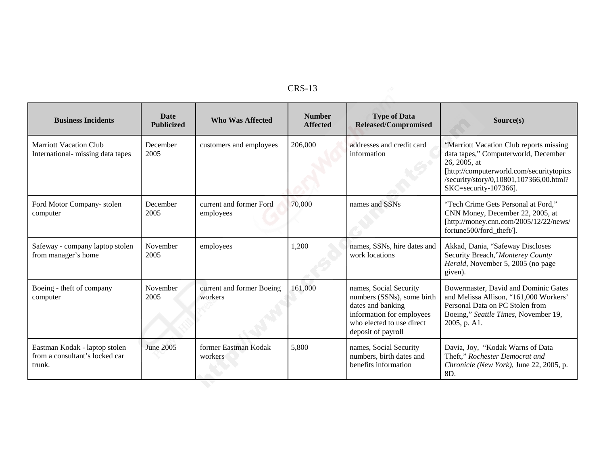| <b>Business Incidents</b>                                                 | <b>Date</b><br><b>Publicized</b> | <b>Who Was Affected</b>              | <b>Number</b><br><b>Affected</b> | <b>Type of Data</b><br><b>Released/Compromised</b>                                                                                                        | Source(s)                                                                                                                                                                                                       |
|---------------------------------------------------------------------------|----------------------------------|--------------------------------------|----------------------------------|-----------------------------------------------------------------------------------------------------------------------------------------------------------|-----------------------------------------------------------------------------------------------------------------------------------------------------------------------------------------------------------------|
| <b>Marriott Vacation Club</b><br>International- missing data tapes        | December<br>2005                 | customers and employees              | 206,000                          | addresses and credit card<br>information                                                                                                                  | "Marriott Vacation Club reports missing<br>data tapes," Computerworld, December<br>26, 2005, at<br>[http://computerworld.com/securitytopics<br>/security/story/0,10801,107366,00.html?<br>SKC=security-107366]. |
| Ford Motor Company-stolen<br>computer                                     | December<br>2005                 | current and former Ford<br>employees | 70,000                           | names and SSNs                                                                                                                                            | "Tech Crime Gets Personal at Ford,"<br>CNN Money, December 22, 2005, at<br>[http://money.cnn.com/2005/12/22/news/<br>fortune500/ford theft/].                                                                   |
| Safeway - company laptop stolen<br>from manager's home                    | November<br>2005                 | employees                            | 1,200                            | names, SSNs, hire dates and<br>work locations                                                                                                             | Akkad, Dania, "Safeway Discloses<br>Security Breach,"Monterey County<br>Herald, November 5, 2005 (no page<br>given).                                                                                            |
| Boeing - theft of company<br>computer                                     | November<br>2005                 | current and former Boeing<br>workers | 161,000                          | names, Social Security<br>numbers (SSNs), some birth<br>dates and banking<br>information for employees<br>who elected to use direct<br>deposit of payroll | Bowermaster, David and Dominic Gates<br>and Melissa Allison, "161,000 Workers'<br>Personal Data on PC Stolen from<br>Boeing," Seattle Times, November 19,<br>2005, p. A1.                                       |
| Eastman Kodak - laptop stolen<br>from a consultant's locked car<br>trunk. | June 2005                        | former Eastman Kodak<br>workers      | 5,800                            | names, Social Security<br>numbers, birth dates and<br>benefits information                                                                                | Davia, Joy, "Kodak Warns of Data<br>Theft," Rochester Democrat and<br>Chronicle (New York), June 22, 2005, p.<br>8D.                                                                                            |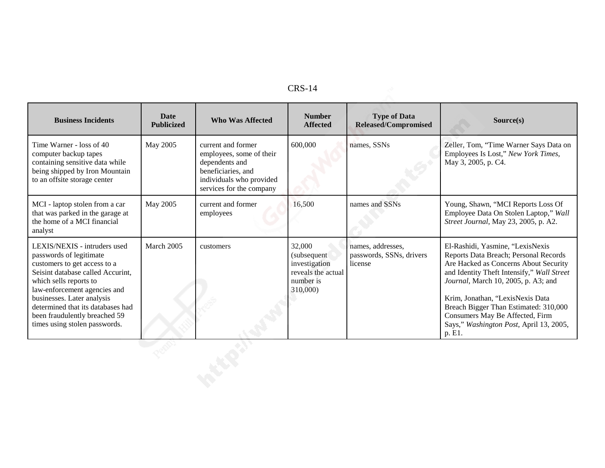| n<br>י<br>Ŵ | - |
|-------------|---|
|-------------|---|

| <b>CRS-14</b>                                                                                                                                                                                                                                                                                                               |                                  |                                                                                                                                                |                                                                                       |                                                          |                                                                                                                                                                                                                                                                                                                                                                              |  |
|-----------------------------------------------------------------------------------------------------------------------------------------------------------------------------------------------------------------------------------------------------------------------------------------------------------------------------|----------------------------------|------------------------------------------------------------------------------------------------------------------------------------------------|---------------------------------------------------------------------------------------|----------------------------------------------------------|------------------------------------------------------------------------------------------------------------------------------------------------------------------------------------------------------------------------------------------------------------------------------------------------------------------------------------------------------------------------------|--|
| <b>Business Incidents</b>                                                                                                                                                                                                                                                                                                   | <b>Date</b><br><b>Publicized</b> | <b>Who Was Affected</b>                                                                                                                        | <b>Number</b><br><b>Affected</b>                                                      | <b>Type of Data</b><br><b>Released/Compromised</b>       | Source(s)                                                                                                                                                                                                                                                                                                                                                                    |  |
| Time Warner - loss of 40<br>computer backup tapes<br>containing sensitive data while<br>being shipped by Iron Mountain<br>to an offsite storage center                                                                                                                                                                      | May 2005                         | current and former<br>employees, some of their<br>dependents and<br>beneficiaries, and<br>individuals who provided<br>services for the company | 600,000                                                                               | names, SSNs                                              | Zeller, Tom, "Time Warner Says Data on<br>Employees Is Lost," New York Times,<br>May 3, 2005, p. C4.                                                                                                                                                                                                                                                                         |  |
| MCI - laptop stolen from a car<br>that was parked in the garage at<br>the home of a MCI financial<br>analyst                                                                                                                                                                                                                | May 2005                         | current and former<br>employees                                                                                                                | 16,500                                                                                | names and SSNs                                           | Young, Shawn, "MCI Reports Loss Of<br>Employee Data On Stolen Laptop," Wall<br>Street Journal, May 23, 2005, p. A2.                                                                                                                                                                                                                                                          |  |
| LEXIS/NEXIS - intruders used<br>passwords of legitimate<br>customers to get access to a<br>Seisint database called Accurint,<br>which sells reports to<br>law-enforcement agencies and<br>businesses. Later analysis<br>determined that its databases had<br>been fraudulently breached 59<br>times using stolen passwords. | March 2005                       | customers                                                                                                                                      | 32,000<br>(subsequent<br>investigation<br>reveals the actual<br>number is<br>310,000) | names, addresses,<br>passwords, SSNs, drivers<br>license | El-Rashidi, Yasmine, "LexisNexis<br>Reports Data Breach; Personal Records<br>Are Hacked as Concerns About Security<br>and Identity Theft Intensify," Wall Street<br>Journal, March 10, 2005, p. A3; and<br>Krim, Jonathan, "LexisNexis Data<br>Breach Bigger Than Estimated: 310,000<br>Consumers May Be Affected, Firm<br>Says," Washington Post, April 13, 2005,<br>p. E1. |  |
|                                                                                                                                                                                                                                                                                                                             |                                  |                                                                                                                                                |                                                                                       |                                                          |                                                                                                                                                                                                                                                                                                                                                                              |  |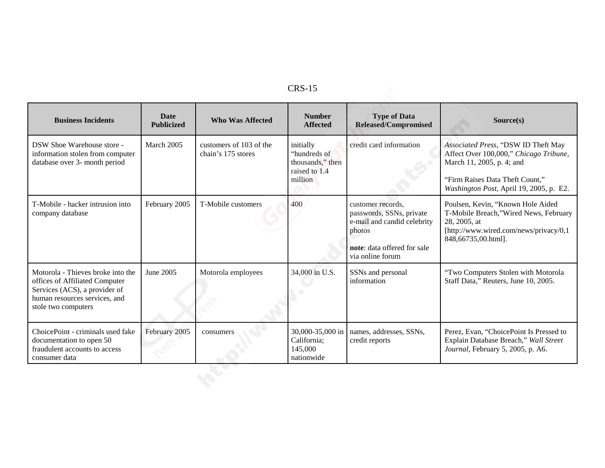| <b>Business Incidents</b>                                                                                                                                    | <b>Date</b><br><b>Publicized</b> | <b>Who Was Affected</b>                       | <b>Number</b><br><b>Affected</b>                                          | <b>Type of Data</b><br><b>Released/Compromised</b>                                                                                        | Source(s)                                                                                                                                                                                |
|--------------------------------------------------------------------------------------------------------------------------------------------------------------|----------------------------------|-----------------------------------------------|---------------------------------------------------------------------------|-------------------------------------------------------------------------------------------------------------------------------------------|------------------------------------------------------------------------------------------------------------------------------------------------------------------------------------------|
| DSW Shoe Warehouse store -<br>information stolen from computer<br>database over 3- month period                                                              | March 2005                       | customers of 103 of the<br>chain's 175 stores | initially<br>"hundreds of<br>thousands," then<br>raised to 1.4<br>million | credit card information                                                                                                                   | Associated Press, "DSW ID Theft May<br>Affect Over 100,000," Chicago Tribune,<br>March 11, 2005, p. 4; and<br>"Firm Raises Data Theft Count,"<br>Washington Post, April 19, 2005, p. E2. |
| T-Mobile - hacker intrusion into<br>company database                                                                                                         | February 2005                    | T-Mobile customers                            | 400                                                                       | customer records.<br>passwords, SSNs, private<br>e-mail and candid celebrity<br>photos<br>note: data offered for sale<br>via online forum | Poulsen, Kevin, "Known Hole Aided<br>T-Mobile Breach,"Wired News, February<br>28, 2005, at<br>[http://www.wired.com/news/privacy/0,1<br>848,66735,00.html].                              |
| Motorola - Thieves broke into the<br>offices of Affiliated Computer<br>Services (ACS), a provider of<br>human resources services, and<br>stole two computers | June 2005                        | Motorola employees                            | 34,000 in U.S.                                                            | SSNs and personal<br>information                                                                                                          | "Two Computers Stolen with Motorola<br>Staff Data," Reuters, June 10, 2005.                                                                                                              |
| ChoicePoint - criminals used fake<br>documentation to open 50<br>fraudulent accounts to access<br>consumer data                                              | February 2005                    | consumers                                     | 30,000-35,000 in<br>California;<br>145,000<br>nationwide                  | names, addresses, SSNs,<br>credit reports                                                                                                 | Perez, Evan, "ChoicePoint Is Pressed to<br>Explain Database Breach," Wall Street<br>Journal, February 5, 2005, p. A6.                                                                    |
|                                                                                                                                                              |                                  |                                               |                                                                           |                                                                                                                                           |                                                                                                                                                                                          |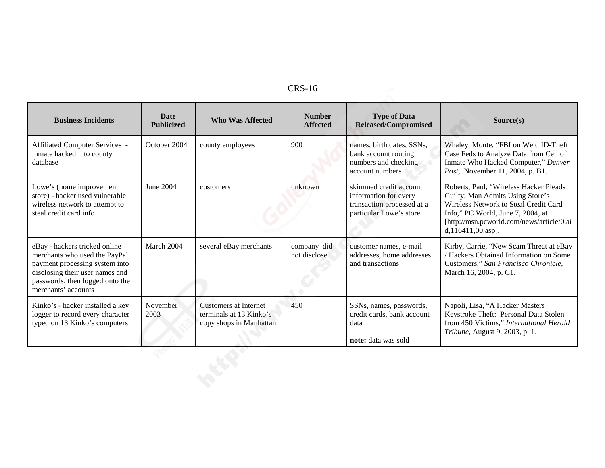| <b>Business Incidents</b>                                                                                                                                                                     | <b>Date</b><br><b>Publicized</b> | <b>Who Was Affected</b>                                                            | <b>Number</b><br><b>Affected</b> | <b>Type of Data</b><br><b>Released/Compromised</b>                                                       | Source(s)                                                                                                                                                                                                                  |
|-----------------------------------------------------------------------------------------------------------------------------------------------------------------------------------------------|----------------------------------|------------------------------------------------------------------------------------|----------------------------------|----------------------------------------------------------------------------------------------------------|----------------------------------------------------------------------------------------------------------------------------------------------------------------------------------------------------------------------------|
| Affiliated Computer Services -<br>inmate hacked into county<br>database                                                                                                                       | October 2004                     | county employees                                                                   | 900                              | names, birth dates, SSNs,<br>bank account routing<br>numbers and checking<br>account numbers             | Whaley, Monte, "FBI on Weld ID-Theft<br>Case Feds to Analyze Data from Cell of<br>Inmate Who Hacked Computer," Denver<br>Post, November 11, 2004, p. B1.                                                                   |
| Lowe's (home improvement<br>store) - hacker used vulnerable<br>wireless network to attempt to<br>steal credit card info                                                                       | June 2004                        | customers                                                                          | unknown                          | skimmed credit account<br>information for every<br>transaction processed at a<br>particular Lowe's store | Roberts, Paul, "Wireless Hacker Pleads<br>Guilty: Man Admits Using Store's<br>Wireless Network to Steal Credit Card<br>Info," PC World, June 7, 2004, at<br>[http://msn.pcworld.com/news/article/0,ai<br>d,116411,00.asp]. |
| eBay - hackers tricked online<br>merchants who used the PayPal<br>payment processing system into<br>disclosing their user names and<br>passwords, then logged onto the<br>merchants' accounts | March 2004                       | several eBay merchants                                                             | company did<br>not disclose      | customer names, e-mail<br>addresses, home addresses<br>and transactions                                  | Kirby, Carrie, "New Scam Threat at eBay<br>/ Hackers Obtained Information on Some<br>Customers," San Francisco Chronicle,<br>March 16, 2004, p. C1.                                                                        |
| Kinko's - hacker installed a key<br>logger to record every character<br>typed on 13 Kinko's computers                                                                                         | November<br>2003                 | <b>Customers at Internet</b><br>terminals at 13 Kinko's<br>copy shops in Manhattan | 450                              | SSNs, names, passwords,<br>credit cards, bank account<br>data<br>note: data was sold                     | Napoli, Lisa, "A Hacker Masters<br>Keystroke Theft: Personal Data Stolen<br>from 450 Victims," International Herald<br>Tribune, August 9, 2003, p. 1.                                                                      |
|                                                                                                                                                                                               |                                  |                                                                                    |                                  |                                                                                                          |                                                                                                                                                                                                                            |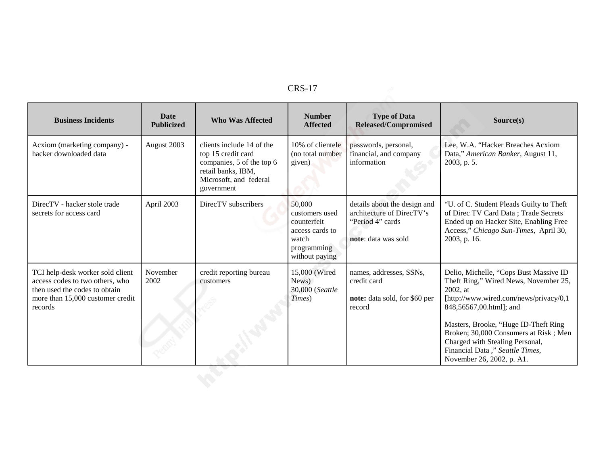| <b>Business Incidents</b>                                                                                                                           | <b>Date</b><br><b>Publicized</b> | <b>Who Was Affected</b>                                                                                                                    | <b>Number</b><br><b>Affected</b>                                                                     | <b>Type of Data</b><br><b>Released/Compromised</b>                                                   | Source(s)                                                                                                                                                                                                                                                                                                                                            |
|-----------------------------------------------------------------------------------------------------------------------------------------------------|----------------------------------|--------------------------------------------------------------------------------------------------------------------------------------------|------------------------------------------------------------------------------------------------------|------------------------------------------------------------------------------------------------------|------------------------------------------------------------------------------------------------------------------------------------------------------------------------------------------------------------------------------------------------------------------------------------------------------------------------------------------------------|
| Acxiom (marketing company) -<br>hacker downloaded data                                                                                              | August 2003                      | clients include 14 of the<br>top 15 credit card<br>companies, 5 of the top 6<br>retail banks, IBM,<br>Microsoft, and federal<br>government | 10% of clientele<br>(no total number<br>given)                                                       | passwords, personal,<br>financial, and company<br>information                                        | Lee, W.A. "Hacker Breaches Acxiom<br>Data," American Banker, August 11,<br>2003, p. 5.                                                                                                                                                                                                                                                               |
| DirecTV - hacker stole trade<br>secrets for access card                                                                                             | April 2003                       | DirecTV subscribers                                                                                                                        | 50,000<br>customers used<br>counterfeit<br>access cards to<br>watch<br>programming<br>without paying | details about the design and<br>architecture of DirecTV's<br>"Period 4" cards<br>note: data was sold | "U. of C. Student Pleads Guilty to Theft<br>of Direc TV Card Data; Trade Secrets<br>Ended up on Hacker Site, Enabling Free<br>Access," Chicago Sun-Times, April 30,<br>2003, p. 16.                                                                                                                                                                  |
| TCI help-desk worker sold client<br>access codes to two others, who<br>then used the codes to obtain<br>more than 15,000 customer credit<br>records | November<br>2002                 | credit reporting bureau<br>customers                                                                                                       | 15,000 (Wired<br>News)<br>30,000 (Seattle<br>Times)                                                  | names, addresses, SSNs,<br>credit card<br>note: data sold, for \$60 per<br>record                    | Delio, Michelle, "Cops Bust Massive ID<br>Theft Ring," Wired News, November 25,<br>2002, at<br>[http://www.wired.com/news/privacy/0,1<br>848,56567,00.html]; and<br>Masters, Brooke, "Huge ID-Theft Ring<br>Broken; 30,000 Consumers at Risk; Men<br>Charged with Stealing Personal,<br>Financial Data," Seattle Times,<br>November 26, 2002, p. A1. |
|                                                                                                                                                     |                                  |                                                                                                                                            |                                                                                                      |                                                                                                      |                                                                                                                                                                                                                                                                                                                                                      |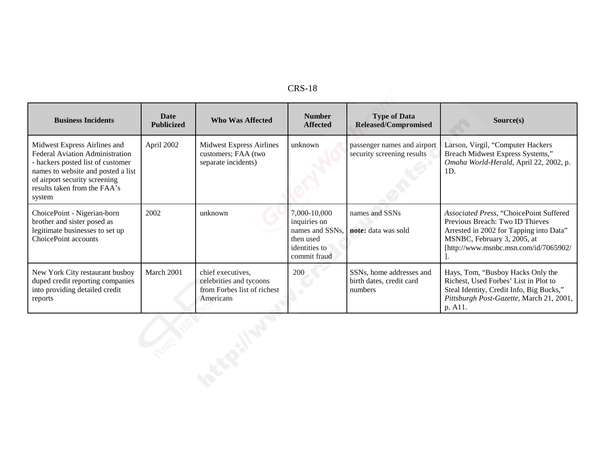| <b>Business Incidents</b>                                                                                                                                                                                                    | <b>Date</b><br><b>Publicized</b> | <b>Who Was Affected</b>                                                                  | <b>Number</b><br><b>Affected</b>                                                              | <b>Type of Data</b><br>Released/Compromised                     | Source(s)                                                                                                                                                                                     |
|------------------------------------------------------------------------------------------------------------------------------------------------------------------------------------------------------------------------------|----------------------------------|------------------------------------------------------------------------------------------|-----------------------------------------------------------------------------------------------|-----------------------------------------------------------------|-----------------------------------------------------------------------------------------------------------------------------------------------------------------------------------------------|
| Midwest Express Airlines and<br><b>Federal Aviation Administration</b><br>- hackers posted list of customer<br>names to website and posted a list<br>of airport security screening<br>results taken from the FAA's<br>system | April 2002                       | <b>Midwest Express Airlines</b><br>customers; FAA (two<br>separate incidents)            | unknown                                                                                       | passenger names and airport<br>security screening results       | Larson, Virgil, "Computer Hackers<br>Breach Midwest Express Systems,"<br>Omaha World-Herald, April 22, 2002, p.<br>1D.                                                                        |
| ChoicePoint - Nigerian-born<br>brother and sister posed as<br>legitimate businesses to set up<br>ChoicePoint accounts                                                                                                        | 2002                             | unknown                                                                                  | 7,000-10,000<br>inquiries on<br>names and SSNs.<br>then used<br>identities to<br>commit fraud | names and SSNs<br>note: data was sold                           | Associated Press, "ChoicePoint Suffered<br>Previous Breach: Two ID Thieves<br>Arrested in 2002 for Tapping into Data"<br>MSNBC, February 3, 2005, at<br>[http://www.msnbc.msn.com/id/7065902/ |
| New York City restaurant busboy<br>duped credit reporting companies<br>into providing detailed credit<br>reports                                                                                                             | March 2001                       | chief executives,<br>celebrities and tycoons<br>from Forbes list of richest<br>Americans | 200                                                                                           | SSNs, home addresses and<br>birth dates, credit card<br>numbers | Hays, Tom, "Busboy Hacks Only the<br>Richest, Used Forbes' List in Plot to<br>Steal Identity, Credit Info, Big Bucks,"<br>Pittsburgh Post-Gazette, March 21, 2001,<br>p. A11.                 |
|                                                                                                                                                                                                                              |                                  |                                                                                          |                                                                                               |                                                                 |                                                                                                                                                                                               |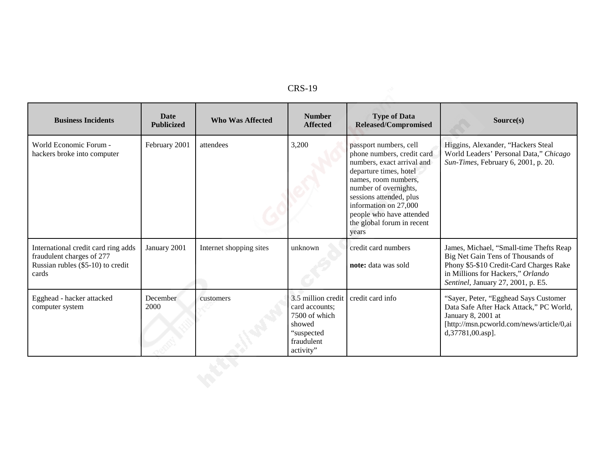| <b>Business Incidents</b>                                                                                      | <b>Date</b><br><b>Publicized</b> | <b>Who Was Affected</b> | <b>Number</b><br><b>Affected</b>                                                                         | <b>Type of Data</b><br><b>Released/Compromised</b>                                                                                                                                                                                                                                   | Source(s)                                                                                                                                                                                          |
|----------------------------------------------------------------------------------------------------------------|----------------------------------|-------------------------|----------------------------------------------------------------------------------------------------------|--------------------------------------------------------------------------------------------------------------------------------------------------------------------------------------------------------------------------------------------------------------------------------------|----------------------------------------------------------------------------------------------------------------------------------------------------------------------------------------------------|
| World Economic Forum -<br>hackers broke into computer                                                          | February 2001                    | attendees               | 3,200                                                                                                    | passport numbers, cell<br>phone numbers, credit card<br>numbers, exact arrival and<br>departure times, hotel<br>names, room numbers,<br>number of overnights,<br>sessions attended, plus<br>information on 27,000<br>people who have attended<br>the global forum in recent<br>years | Higgins, Alexander, "Hackers Steal<br>World Leaders' Personal Data," Chicago<br>Sun-Times, February 6, 2001, p. 20.                                                                                |
| International credit card ring adds<br>fraudulent charges of 277<br>Russian rubles (\$5-10) to credit<br>cards | January 2001                     | Internet shopping sites | unknown                                                                                                  | credit card numbers<br>note: data was sold                                                                                                                                                                                                                                           | James, Michael, "Small-time Thefts Reap<br>Big Net Gain Tens of Thousands of<br>Phony \$5-\$10 Credit-Card Charges Rake<br>in Millions for Hackers," Orlando<br>Sentinel, January 27, 2001, p. E5. |
| Egghead - hacker attacked<br>computer system                                                                   | December<br>2000                 | customers               | 3.5 million credit<br>card accounts;<br>7500 of which<br>showed<br>"suspected<br>fraudulent<br>activity" | credit card info                                                                                                                                                                                                                                                                     | "Sayer, Peter, "Egghead Says Customer<br>Data Safe After Hack Attack," PC World,<br>January 8, 2001 at<br>[http://msn.pcworld.com/news/article/0,ai<br>d, 37781, 00. asp].                         |
|                                                                                                                |                                  |                         |                                                                                                          |                                                                                                                                                                                                                                                                                      |                                                                                                                                                                                                    |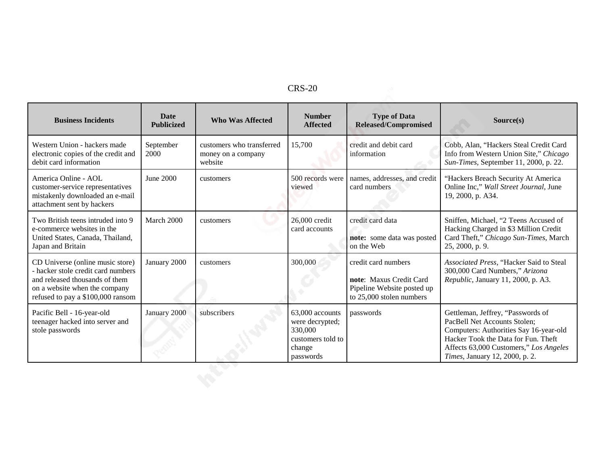| <b>Business Incidents</b>                                                                                                                                                      | <b>Date</b><br><b>Publicized</b> | <b>Who Was Affected</b>                                    | <b>Number</b><br><b>Affected</b>                                                          | <b>Type of Data</b><br><b>Released/Compromised</b>                                                       | Source(s)                                                                                                                                                                                                                      |
|--------------------------------------------------------------------------------------------------------------------------------------------------------------------------------|----------------------------------|------------------------------------------------------------|-------------------------------------------------------------------------------------------|----------------------------------------------------------------------------------------------------------|--------------------------------------------------------------------------------------------------------------------------------------------------------------------------------------------------------------------------------|
| Western Union - hackers made<br>electronic copies of the credit and<br>debit card information                                                                                  | September<br>2000                | customers who transferred<br>money on a company<br>website | 15,700                                                                                    | credit and debit card<br>information                                                                     | Cobb, Alan, "Hackers Steal Credit Card<br>Info from Western Union Site," Chicago<br>Sun-Times, September 11, 2000, p. 22.                                                                                                      |
| America Online - AOL<br>customer-service representatives<br>mistakenly downloaded an e-mail<br>attachment sent by hackers                                                      | June 2000                        | customers                                                  | 500 records were<br>viewed                                                                | names, addresses, and credit<br>card numbers.                                                            | "Hackers Breach Security At America<br>Online Inc," Wall Street Journal, June<br>19, 2000, p. A34.                                                                                                                             |
| Two British teens intruded into 9<br>e-commerce websites in the<br>United States, Canada, Thailand,<br>Japan and Britain                                                       | March 2000                       | customers                                                  | 26,000 credit<br>card accounts                                                            | credit card data<br>note: some data was posted<br>on the Web                                             | Sniffen, Michael, "2 Teens Accused of<br>Hacking Charged in \$3 Million Credit<br>Card Theft," Chicago Sun-Times, March<br>25, 2000, p. 9.                                                                                     |
| CD Universe (online music store)<br>- hacker stole credit card numbers<br>and released thousands of them<br>on a website when the company<br>refused to pay a \$100,000 ransom | January 2000                     | customers                                                  | 300,000                                                                                   | credit card numbers<br>note: Maxus Credit Card<br>Pipeline Website posted up<br>to 25,000 stolen numbers | Associated Press, "Hacker Said to Steal<br>300,000 Card Numbers," Arizona<br>Republic, January 11, 2000, p. A3.                                                                                                                |
| Pacific Bell - 16-year-old<br>teenager hacked into server and<br>stole passwords                                                                                               | January 2000                     | subscribers                                                | 63,000 accounts<br>were decrypted;<br>330,000<br>customers told to<br>change<br>passwords | passwords                                                                                                | Gettleman, Jeffrey, "Passwords of<br>PacBell Net Accounts Stolen;<br>Computers: Authorities Say 16-year-old<br>Hacker Took the Data for Fun. Theft<br>Affects 63,000 Customers," Los Angeles<br>Times, January 12, 2000, p. 2. |
|                                                                                                                                                                                |                                  |                                                            |                                                                                           |                                                                                                          |                                                                                                                                                                                                                                |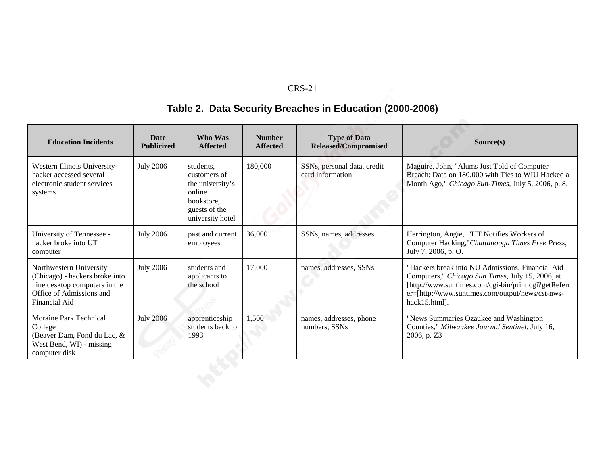# **Table 2. Data Security Breaches in Education (2000-2006)**

| <b>Education Incidents</b>                                                                                                              | <b>Date</b><br><b>Publicized</b> | Who Was<br><b>Affected</b>                                                                                 | <b>Number</b><br><b>Affected</b> | <b>Type of Data</b><br><b>Released/Compromised</b> | Source(s)                                                                                                                                                                                                                         |
|-----------------------------------------------------------------------------------------------------------------------------------------|----------------------------------|------------------------------------------------------------------------------------------------------------|----------------------------------|----------------------------------------------------|-----------------------------------------------------------------------------------------------------------------------------------------------------------------------------------------------------------------------------------|
| Western Illinois University-<br>hacker accessed several<br>electronic student services<br>systems                                       | <b>July 2006</b>                 | students,<br>customers of<br>the university's<br>online<br>bookstore.<br>guests of the<br>university hotel | 180,000                          | SSNs, personal data, credit<br>card information    | Maguire, John, "Alums Just Told of Computer<br>Breach: Data on 180,000 with Ties to WIU Hacked a<br>Month Ago," Chicago Sun-Times, July 5, 2006, p. 8.                                                                            |
| University of Tennessee -<br>hacker broke into UT<br>computer                                                                           | <b>July 2006</b>                 | past and current<br>employees                                                                              | 36,000                           | SSNs, names, addresses                             | Herrington, Angie, "UT Notifies Workers of<br>Computer Hacking,"Chattanooga Times Free Press,<br>July 7, 2006, p. O.                                                                                                              |
| Northwestern University<br>(Chicago) - hackers broke into<br>nine desktop computers in the<br>Office of Admissions and<br>Financial Aid | <b>July 2006</b>                 | students and<br>applicants to<br>the school                                                                | 17,000                           | names, addresses, SSNs                             | "Hackers break into NU Admissions, Financial Aid<br>Computers," Chicago Sun Times, July 15, 2006, at<br>[http://www.suntimes.com/cgi-bin/print.cgi?getReferr<br>er=[http://www.suntimes.com/output/news/cst-nws-<br>hack15.html]. |
| Moraine Park Technical<br>College<br>(Beaver Dam, Fond du Lac, &<br>West Bend, WI) - missing<br>computer disk                           | <b>July 2006</b>                 | apprenticeship<br>students back to<br>1993                                                                 | 1,500                            | names, addresses, phone<br>numbers, SSNs           | "News Summaries Ozaukee and Washington<br>Counties," Milwaukee Journal Sentinel, July 16,<br>2006, p. Z3                                                                                                                          |
|                                                                                                                                         |                                  |                                                                                                            |                                  |                                                    |                                                                                                                                                                                                                                   |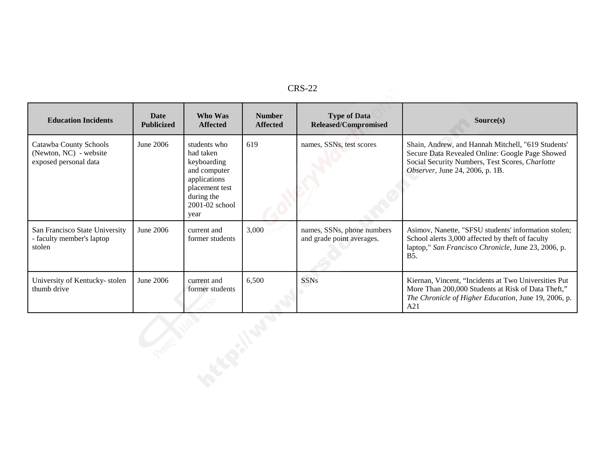| <b>Education Incidents</b>                                                | <b>Date</b><br><b>Publicized</b> | Who Was<br><b>Affected</b>                                                                                                             | <b>Number</b><br><b>Affected</b> | <b>Type of Data</b><br><b>Released/Compromised</b>      | Source(s)                                                                                                                                                                                   |
|---------------------------------------------------------------------------|----------------------------------|----------------------------------------------------------------------------------------------------------------------------------------|----------------------------------|---------------------------------------------------------|---------------------------------------------------------------------------------------------------------------------------------------------------------------------------------------------|
| Catawba County Schools<br>(Newton, NC) - website<br>exposed personal data | June $2006$                      | students who<br>had taken<br>keyboarding<br>and computer<br>applications<br>placement test<br>during the<br>$2001 - 02$ school<br>year | 619                              | names, SSNs, test scores                                | Shain, Andrew, and Hannah Mitchell, "619 Students"<br>Secure Data Revealed Online: Google Page Showed<br>Social Security Numbers, Test Scores, Charlotte<br>Observer, June 24, 2006, p. 1B. |
| San Francisco State University<br>- faculty member's laptop<br>stolen     | June 2006                        | current and<br>former students                                                                                                         | 3,000                            | names, SSNs, phone numbers<br>and grade point averages. | Asimov, Nanette, "SFSU students' information stolen;<br>School alerts 3,000 affected by theft of faculty<br>laptop," San Francisco Chronicle, June 23, 2006, p.<br><b>B5.</b>               |
| University of Kentucky-stolen<br>thumb drive                              | June 2006                        | current and<br>former students                                                                                                         | 6,500                            | <b>SSNs</b>                                             | Kiernan, Vincent, "Incidents at Two Universities Put<br>More Than 200,000 Students at Risk of Data Theft,"<br>The Chronicle of Higher Education, June 19, 2006, p.<br>A21                   |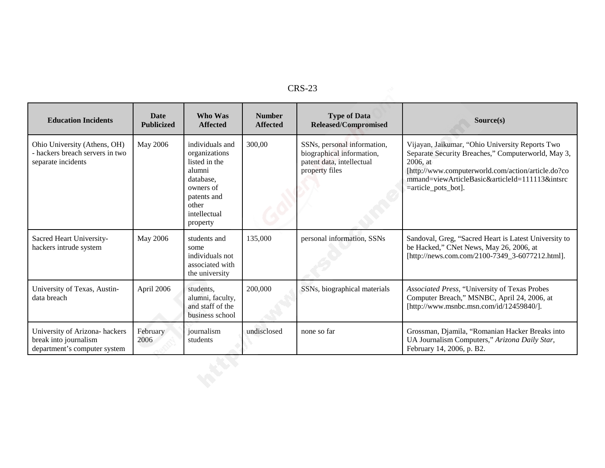| <b>Education Incidents</b>                                                              | Date<br><b>Publicized</b> | Who Was<br><b>Affected</b>                                                                                                                | <b>Number</b><br><b>Affected</b> | <b>Type of Data</b><br><b>Released/Compromised</b>                                                      | Source(s)                                                                                                                                                                                                                                           |
|-----------------------------------------------------------------------------------------|---------------------------|-------------------------------------------------------------------------------------------------------------------------------------------|----------------------------------|---------------------------------------------------------------------------------------------------------|-----------------------------------------------------------------------------------------------------------------------------------------------------------------------------------------------------------------------------------------------------|
| Ohio University (Athens, OH)<br>- hackers breach servers in two<br>separate incidents   | May 2006                  | individuals and<br>organizations<br>listed in the<br>alumni<br>database,<br>owners of<br>patents and<br>other<br>intellectual<br>property | 300,00                           | SSNs, personal information,<br>biographical information,<br>patent data, intellectual<br>property files | Vijayan, Jaikumar, "Ohio University Reports Two<br>Separate Security Breaches," Computerworld, May 3,<br>2006, at<br>[http://www.computerworld.com/action/article.do?co<br>mmand=viewArticleBasic&articleId=111113&intsrc<br>$=$ article_pots_bot]. |
| Sacred Heart University-<br>hackers intrude system                                      | May 2006                  | students and<br>some<br>individuals not<br>associated with<br>the university                                                              | 135,000                          | personal information, SSNs                                                                              | Sandoval, Greg, "Sacred Heart is Latest University to<br>be Hacked," CNet News, May 26, 2006, at<br>[http://news.com.com/2100-7349_3-6077212.html].                                                                                                 |
| University of Texas, Austin-<br>data breach                                             | April 2006                | students,<br>alumni, faculty,<br>and staff of the<br>business school                                                                      | 200,000                          | SSNs, biographical materials                                                                            | Associated Press, "University of Texas Probes<br>Computer Breach," MSNBC, April 24, 2006, at<br>[http://www.msnbc.msn.com/id/12459840/].                                                                                                            |
| University of Arizona- hackers<br>break into journalism<br>department's computer system | February<br>2006          | journalism<br>students                                                                                                                    | undisclosed                      | none so far                                                                                             | Grossman, Djamila, "Romanian Hacker Breaks into<br>UA Journalism Computers," Arizona Daily Star,<br>February 14, 2006, p. B2.                                                                                                                       |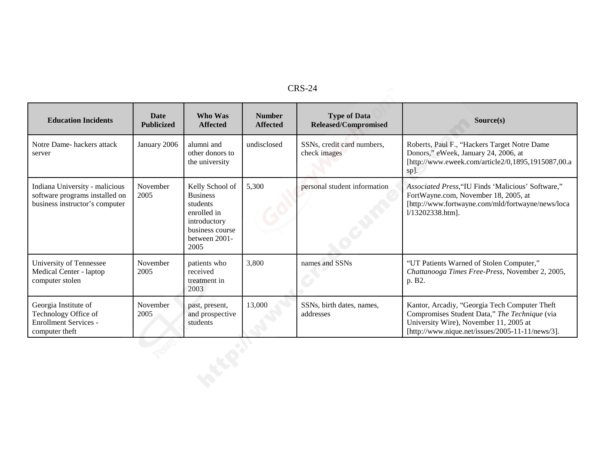| c<br>נו<br>־ע^ |
|----------------|
|----------------|

|                                                                                                    |                                  |                                                                                                                           |                                  | <b>CRS-24</b>                                      |                                                                                                                                                                                              |
|----------------------------------------------------------------------------------------------------|----------------------------------|---------------------------------------------------------------------------------------------------------------------------|----------------------------------|----------------------------------------------------|----------------------------------------------------------------------------------------------------------------------------------------------------------------------------------------------|
| <b>Education Incidents</b>                                                                         | <b>Date</b><br><b>Publicized</b> | Who Was<br><b>Affected</b>                                                                                                | <b>Number</b><br><b>Affected</b> | <b>Type of Data</b><br><b>Released/Compromised</b> | Source(s)                                                                                                                                                                                    |
| Notre Dame-hackers attack<br>server                                                                | January 2006                     | alumni and<br>other donors to<br>the university                                                                           | undisclosed                      | SSNs, credit card numbers,<br>check images         | Roberts, Paul F., "Hackers Target Notre Dame<br>Donors," eWeek, January 24, 2006, at<br>[http://www.eweek.com/article2/0,1895,1915087,00.a<br>sp].                                           |
| Indiana University - malicious<br>software programs installed on<br>business instructor's computer | November<br>2005                 | Kelly School of<br><b>Business</b><br>students<br>enrolled in<br>introductory<br>business course<br>between 2001-<br>2005 | 5,300                            | personal student information                       | Associated Press, "IU Finds 'Malicious' Software,"<br>FortWayne.com, November 18, 2005, at<br>[http://www.fortwayne.com/mld/fortwayne/news/loca<br>1/13202338.htm].                          |
| University of Tennessee<br>Medical Center - laptop<br>computer stolen                              | November<br>2005                 | patients who<br>received<br>treatment in<br>2003                                                                          | 3,800                            | names and SSNs                                     | "UT Patients Warned of Stolen Computer,"<br>Chattanooga Times Free-Press, November 2, 2005,<br>p. B2.                                                                                        |
| Georgia Institute of<br>Technology Office of<br><b>Enrollment Services -</b><br>computer theft     | November<br>2005                 | past, present,<br>and prospective<br>students                                                                             | 13,000                           | SSNs, birth dates, names,<br>addresses             | Kantor, Arcadiy, "Georgia Tech Computer Theft<br>Compromises Student Data," The Technique (via<br>University Wire), November 11, 2005 at<br>[http://www.nique.net/issues/2005-11-11/news/3]. |
|                                                                                                    |                                  |                                                                                                                           |                                  |                                                    |                                                                                                                                                                                              |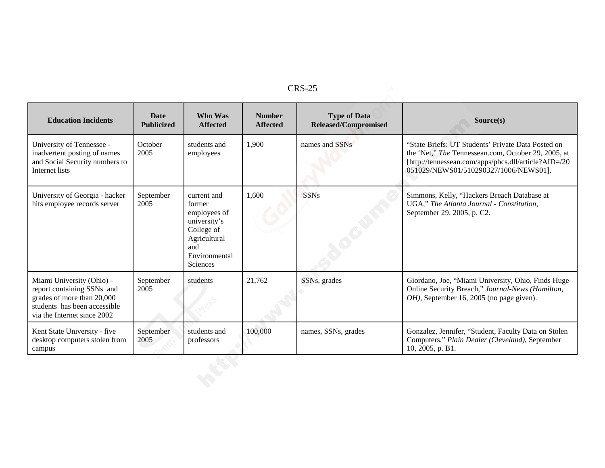| <b>Education Incidents</b>                                                                                                                           | Date<br><b>Publicized</b> | Who Was<br><b>Affected</b>                                                                                              | <b>Number</b><br><b>Affected</b> | <b>Type of Data</b><br><b>Released/Compromised</b> | Source(s)                                                                                                                                                                                                  |
|------------------------------------------------------------------------------------------------------------------------------------------------------|---------------------------|-------------------------------------------------------------------------------------------------------------------------|----------------------------------|----------------------------------------------------|------------------------------------------------------------------------------------------------------------------------------------------------------------------------------------------------------------|
| University of Tennessee -<br>inadvertent posting of names<br>and Social Security numbers to<br>Internet lists                                        | October<br>2005           | students and<br>employees                                                                                               | 1,900                            | names and SSNs                                     | "State Briefs: UT Students' Private Data Posted on<br>the 'Net," The Tennessean.com, October 29, 2005, at<br>[http://tennessean.com/apps/pbcs.dll/article?AID=/20<br>051029/NEWS01/510290327/1006/NEWS01]. |
| University of Georgia - hacker<br>hits employee records server                                                                                       | September<br>2005         | current and<br>former<br>employees of<br>university's<br>College of<br>Agricultural<br>and<br>Environmental<br>Sciences | 1,600                            | <b>SSNs</b>                                        | Simmons, Kelly, "Hackers Breach Database at<br>UGA," The Atlanta Journal - Constitution,<br>September 29, 2005, p. C2.                                                                                     |
| Miami University (Ohio) -<br>report containing SSNs and<br>grades of more than 20,000<br>students has been accessible<br>via the Internet since 2002 | September<br>2005         | students                                                                                                                | 21,762                           | SSNs, grades                                       | Giordano, Joe, "Miami University, Ohio, Finds Huge<br>Online Security Breach," Journal-News (Hamilton,<br>OH), September 16, 2005 (no page given).                                                         |
| Kent State University - five<br>desktop computers stolen from<br>campus                                                                              | September<br>2005         | students and<br>professors                                                                                              | 100,000                          | names, SSNs, grades                                | Gonzalez, Jennifer, "Student, Faculty Data on Stolen<br>Computers," Plain Dealer (Cleveland), September<br>10, 2005, p. B1.                                                                                |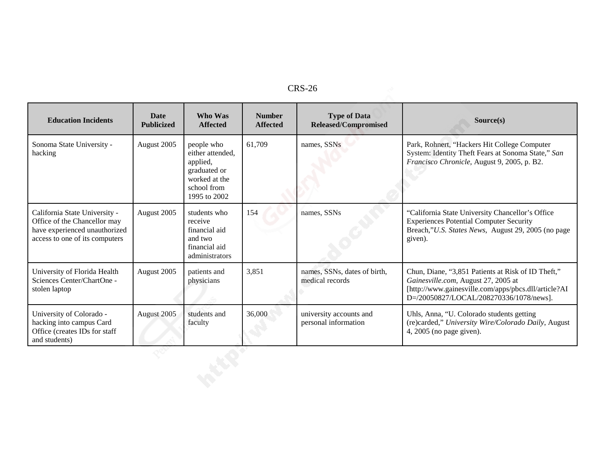| RS-<br>c<br>'n |  |
|----------------|--|
|----------------|--|

| <b>CRS-26</b>                                                                                                                    |                                  |                                                                                                            |                                  |                                                    |                                                                                                                                                                                              |  |  |
|----------------------------------------------------------------------------------------------------------------------------------|----------------------------------|------------------------------------------------------------------------------------------------------------|----------------------------------|----------------------------------------------------|----------------------------------------------------------------------------------------------------------------------------------------------------------------------------------------------|--|--|
| <b>Education Incidents</b>                                                                                                       | <b>Date</b><br><b>Publicized</b> | Who Was<br><b>Affected</b>                                                                                 | <b>Number</b><br><b>Affected</b> | <b>Type of Data</b><br><b>Released/Compromised</b> | Source(s)                                                                                                                                                                                    |  |  |
| Sonoma State University -<br>hacking                                                                                             | August 2005                      | people who<br>either attended.<br>applied,<br>graduated or<br>worked at the<br>school from<br>1995 to 2002 | 61,709                           | names, SSNs                                        | Park, Rohnert, "Hackers Hit College Computer<br>System: Identity Theft Fears at Sonoma State," San<br>Francisco Chronicle, August 9, 2005, p. B2.                                            |  |  |
| California State University -<br>Office of the Chancellor may<br>have experienced unauthorized<br>access to one of its computers | August 2005                      | students who<br>receive<br>financial aid<br>and two<br>financial aid<br>administrators                     | 154                              | names, SSNs                                        | "California State University Chancellor's Office<br><b>Experiences Potential Computer Security</b><br>Breach,"U.S. States News, August 29, 2005 (no page<br>given).                          |  |  |
| University of Florida Health<br>Sciences Center/ChartOne -<br>stolen laptop                                                      | August 2005                      | patients and<br>physicians                                                                                 | 3,851                            | names, SSNs, dates of birth,<br>medical records    | Chun, Diane, "3,851 Patients at Risk of ID Theft,"<br>Gainesville.com, August 27, 2005 at<br>[http://www.gainesville.com/apps/pbcs.dll/article?AI<br>D=/20050827/LOCAL/208270336/1078/news]. |  |  |
| University of Colorado -<br>hacking into campus Card<br>Office (creates IDs for staff<br>and students)                           | August 2005                      | students and<br>faculty                                                                                    | 36,000                           | university accounts and<br>personal information    | Uhls, Anna, "U. Colorado students getting<br>(re)carded," University Wire/Colorado Daily, August<br>4, $2005$ (no page given).                                                               |  |  |
|                                                                                                                                  |                                  |                                                                                                            |                                  |                                                    |                                                                                                                                                                                              |  |  |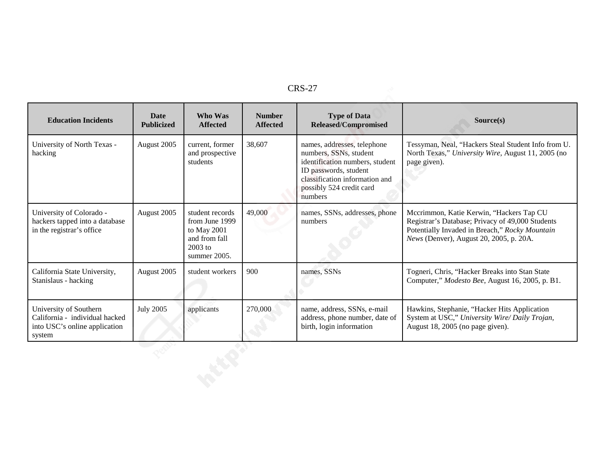|                                                                                                     |                                  |                                                                                                |                                  | <b>CRS-27</b>                                                                                                                                                                              |                                                                                                                                                                                           |
|-----------------------------------------------------------------------------------------------------|----------------------------------|------------------------------------------------------------------------------------------------|----------------------------------|--------------------------------------------------------------------------------------------------------------------------------------------------------------------------------------------|-------------------------------------------------------------------------------------------------------------------------------------------------------------------------------------------|
| <b>Education Incidents</b>                                                                          | <b>Date</b><br><b>Publicized</b> | Who Was<br><b>Affected</b>                                                                     | <b>Number</b><br><b>Affected</b> | <b>Type of Data</b><br><b>Released/Compromised</b>                                                                                                                                         | Source(s)                                                                                                                                                                                 |
| University of North Texas -<br>hacking                                                              | August 2005                      | current, former<br>and prospective<br>students                                                 | 38,607                           | names, addresses, telephone<br>numbers, SSNs, student<br>identification numbers, student<br>ID passwords, student<br>classification information and<br>possibly 524 credit card<br>numbers | Tessyman, Neal, "Hackers Steal Student Info from U.<br>North Texas," University Wire, August 11, 2005 (no<br>page given).                                                                 |
| University of Colorado -<br>hackers tapped into a database<br>in the registrar's office             | August 2005                      | student records<br>from June 1999<br>to May 2001<br>and from fall<br>$2003$ to<br>summer 2005. | 49,000                           | names, SSNs, addresses, phone<br>numbers                                                                                                                                                   | Mccrimmon, Katie Kerwin, "Hackers Tap CU<br>Registrar's Database; Privacy of 49,000 Students<br>Potentially Invaded in Breach," Rocky Mountain<br>News (Denver), August 20, 2005, p. 20A. |
| California State University,<br>Stanislaus - hacking                                                | August 2005                      | student workers                                                                                | 900                              | names, SSNs                                                                                                                                                                                | Togneri, Chris, "Hacker Breaks into Stan State<br>Computer," Modesto Bee, August 16, 2005, p. B1.                                                                                         |
| University of Southern<br>California - individual hacked<br>into USC's online application<br>system | <b>July 2005</b>                 | applicants                                                                                     | 270,000                          | name, address, SSNs, e-mail<br>address, phone number, date of<br>birth, login information                                                                                                  | Hawkins, Stephanie, "Hacker Hits Application<br>System at USC," University Wire/ Daily Trojan,<br>August 18, 2005 (no page given).                                                        |
|                                                                                                     |                                  |                                                                                                |                                  |                                                                                                                                                                                            |                                                                                                                                                                                           |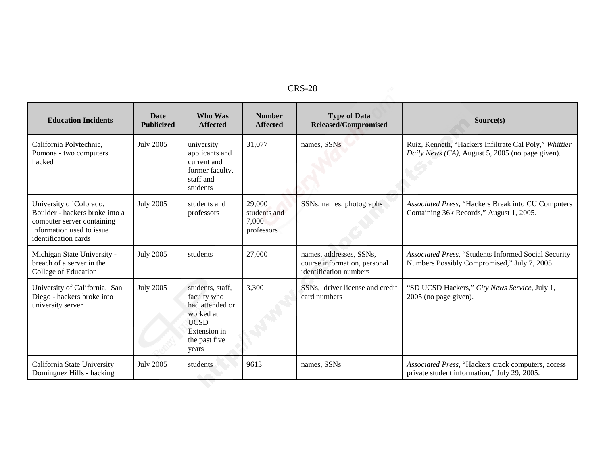| RS-2:<br>28 |  |
|-------------|--|
|-------------|--|

|                                                                                                                                              |                                  |                                                                                                                          |                                               | <b>CRS-28</b>                                                                     |                                                                                                            |
|----------------------------------------------------------------------------------------------------------------------------------------------|----------------------------------|--------------------------------------------------------------------------------------------------------------------------|-----------------------------------------------|-----------------------------------------------------------------------------------|------------------------------------------------------------------------------------------------------------|
| <b>Education Incidents</b>                                                                                                                   | <b>Date</b><br><b>Publicized</b> | Who Was<br><b>Affected</b>                                                                                               | <b>Number</b><br><b>Affected</b>              | <b>Type of Data</b><br><b>Released/Compromised</b>                                | Source(s)                                                                                                  |
| California Polytechnic,<br>Pomona - two computers<br>hacked                                                                                  | <b>July 2005</b>                 | university<br>applicants and<br>current and<br>former faculty,<br>staff and<br>students                                  | 31,077                                        | names, SSNs                                                                       | Ruiz, Kenneth, "Hackers Infiltrate Cal Poly," Whittier<br>Daily News (CA), August 5, 2005 (no page given). |
| University of Colorado,<br>Boulder - hackers broke into a<br>computer server containing<br>information used to issue<br>identification cards | <b>July 2005</b>                 | students and<br>professors                                                                                               | 29,000<br>students and<br>7,000<br>professors | SSNs, names, photographs                                                          | Associated Press, "Hackers Break into CU Computers<br>Containing 36k Records," August 1, 2005.             |
| Michigan State University -<br>breach of a server in the<br>College of Education                                                             | <b>July 2005</b>                 | students                                                                                                                 | 27,000                                        | names, addresses, SSNs,<br>course information, personal<br>identification numbers | Associated Press, "Students Informed Social Security<br>Numbers Possibly Compromised," July 7, 2005.       |
| University of California, San<br>Diego - hackers broke into<br>university server                                                             | <b>July 2005</b>                 | students, staff,<br>faculty who<br>had attended or<br>worked at<br><b>UCSD</b><br>Extension in<br>the past five<br>years | 3,300                                         | SSNs, driver license and credit<br>card numbers                                   | "SD UCSD Hackers," City News Service, July 1,<br>2005 (no page given).                                     |
| California State University<br>Dominguez Hills - hacking                                                                                     | <b>July 2005</b>                 | students                                                                                                                 | 9613                                          | names, SSNs                                                                       | Associated Press, "Hackers crack computers, access<br>private student information," July 29, 2005.         |
|                                                                                                                                              |                                  |                                                                                                                          |                                               |                                                                                   |                                                                                                            |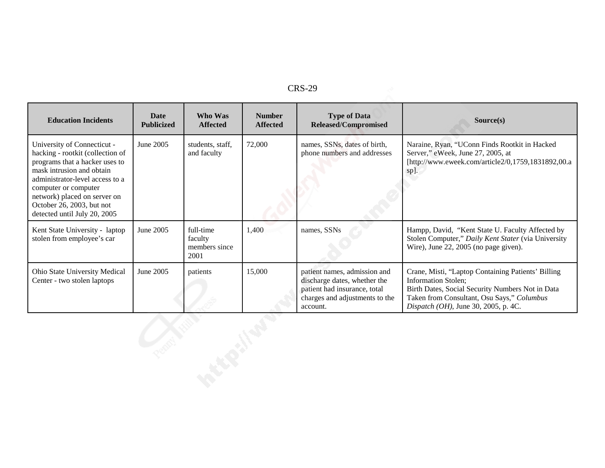| DС<br>,,,<br>A. 7 |
|-------------------|
|-------------------|

|                                                                                                                                                                                                                                                                                        |                           |                                               |                                  | <b>CRS-29</b>                                                                                                                              |                                                                                                                                                                                                                            |
|----------------------------------------------------------------------------------------------------------------------------------------------------------------------------------------------------------------------------------------------------------------------------------------|---------------------------|-----------------------------------------------|----------------------------------|--------------------------------------------------------------------------------------------------------------------------------------------|----------------------------------------------------------------------------------------------------------------------------------------------------------------------------------------------------------------------------|
| <b>Education Incidents</b>                                                                                                                                                                                                                                                             | Date<br><b>Publicized</b> | Who Was<br><b>Affected</b>                    | <b>Number</b><br><b>Affected</b> | <b>Type of Data</b><br><b>Released/Compromised</b>                                                                                         | Source(s)                                                                                                                                                                                                                  |
| University of Connecticut -<br>hacking - rootkit (collection of<br>programs that a hacker uses to<br>mask intrusion and obtain<br>administrator-level access to a<br>computer or computer<br>network) placed on server on<br>October 26, 2003, but not<br>detected until July 20, 2005 | June 2005                 | students, staff,<br>and faculty               | 72,000                           | names, SSNs, dates of birth,<br>phone numbers and addresses                                                                                | Naraine, Ryan, "UConn Finds Rootkit in Hacked<br>Server," eWeek, June 27, 2005, at<br>[http://www.eweek.com/article2/0,1759,1831892,00.a<br>sp].                                                                           |
| Kent State University - laptop<br>stolen from employee's car                                                                                                                                                                                                                           | June 2005                 | full-time<br>faculty<br>members since<br>2001 | 1,400                            | names, SSNs                                                                                                                                | Hampp, David, "Kent State U. Faculty Affected by<br>Stolen Computer," Daily Kent Stater (via University<br>Wire), June 22, 2005 (no page given).                                                                           |
| Ohio State University Medical<br>Center - two stolen laptops                                                                                                                                                                                                                           | June 2005                 | patients                                      | 15,000                           | patient names, admission and<br>discharge dates, whether the<br>patient had insurance, total<br>charges and adjustments to the<br>account. | Crane, Misti, "Laptop Containing Patients' Billing<br><b>Information Stolen;</b><br>Birth Dates, Social Security Numbers Not in Data<br>Taken from Consultant, Osu Says," Columbus<br>Dispatch (OH), June 30, 2005, p. 4C. |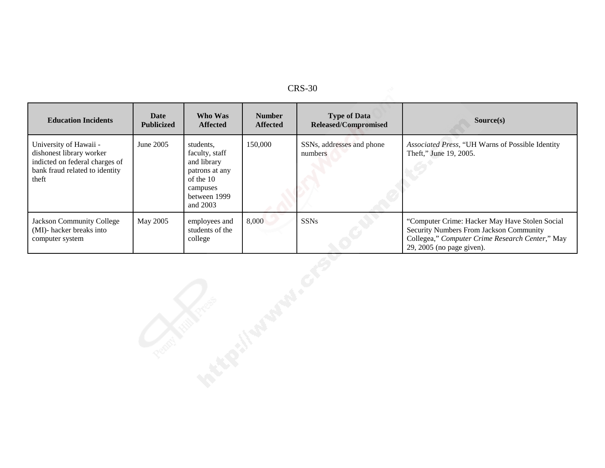| D<br>L<br>↖<br>. |
|------------------|
|------------------|

| <b>Education Incidents</b>                                                                                                      | <b>Date</b><br><b>Publicized</b> | Who Was<br><b>Affected</b>                                                                                        | <b>Number</b><br><b>Affected</b> | <b>Type of Data</b><br>Released/Compromised | Source(s)                                                                                                                                                                 |
|---------------------------------------------------------------------------------------------------------------------------------|----------------------------------|-------------------------------------------------------------------------------------------------------------------|----------------------------------|---------------------------------------------|---------------------------------------------------------------------------------------------------------------------------------------------------------------------------|
| University of Hawaii -<br>dishonest library worker<br>indicted on federal charges of<br>bank fraud related to identity<br>theft | June 2005                        | students,<br>faculty, staff<br>and library<br>patrons at any<br>of the 10<br>campuses<br>between 1999<br>and 2003 | 150,000                          | SSNs, addresses and phone<br>numbers        | Associated Press, "UH Warns of Possible Identity<br>Theft," June 19, 2005.                                                                                                |
| Jackson Community College<br>(MI)- hacker breaks into<br>computer system                                                        | May 2005                         | employees and<br>students of the<br>college                                                                       | 8,000                            | <b>SSNs</b>                                 | "Computer Crime: Hacker May Have Stolen Social<br>Security Numbers From Jackson Community<br>Collegea," Computer Crime Research Center," May<br>29, 2005 (no page given). |
|                                                                                                                                 |                                  |                                                                                                                   |                                  |                                             |                                                                                                                                                                           |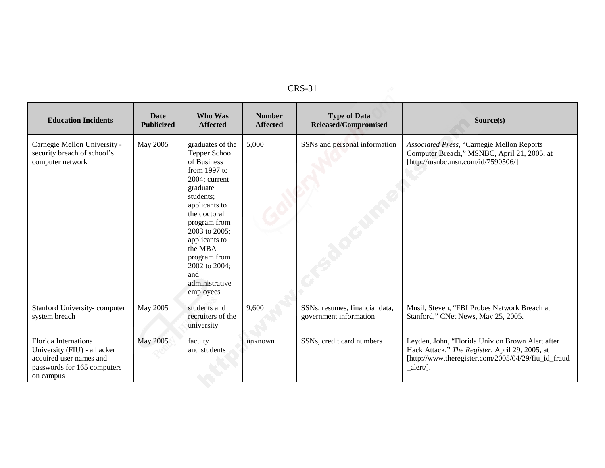| i, |
|----|
|----|

| <b>Education Incidents</b>                                                                                                  | <b>Date</b><br><b>Publicized</b> | Who Was<br><b>Affected</b>                                                                                                                                                                                                                                                      | <b>Number</b><br><b>Affected</b> | <b>Type of Data</b><br><b>Released/Compromised</b>       | Source(s)                                                                                                                                                               |
|-----------------------------------------------------------------------------------------------------------------------------|----------------------------------|---------------------------------------------------------------------------------------------------------------------------------------------------------------------------------------------------------------------------------------------------------------------------------|----------------------------------|----------------------------------------------------------|-------------------------------------------------------------------------------------------------------------------------------------------------------------------------|
| Carnegie Mellon University -<br>security breach of school's<br>computer network                                             | May 2005                         | graduates of the<br>Tepper School<br>of Business<br>from 1997 to<br>2004; current<br>graduate<br>students:<br>applicants to<br>the doctoral<br>program from<br>2003 to 2005;<br>applicants to<br>the MBA<br>program from<br>2002 to 2004;<br>and<br>administrative<br>employees | 5,000                            | SSNs and personal information                            | Associated Press, "Carnegie Mellon Reports<br>Computer Breach," MSNBC, April 21, 2005, at<br>[http://msnbc.msn.com/id/7590506/]                                         |
| Stanford University-computer<br>system breach                                                                               | May 2005                         | students and<br>recruiters of the<br>university                                                                                                                                                                                                                                 | 9,600                            | SSNs, resumes, financial data,<br>government information | Musil, Steven, "FBI Probes Network Breach at<br>Stanford," CNet News, May 25, 2005.                                                                                     |
| Florida International<br>University (FIU) - a hacker<br>acquired user names and<br>passwords for 165 computers<br>on campus | <b>May 2005</b>                  | faculty<br>and students                                                                                                                                                                                                                                                         | unknown                          | SSNs, credit card numbers                                | Leyden, John, "Florida Univ on Brown Alert after<br>Hack Attack," The Register, April 29, 2005, at<br>[http://www.theregister.com/2005/04/29/fiu_id_fraud<br>$alert/$ . |
|                                                                                                                             |                                  |                                                                                                                                                                                                                                                                                 |                                  |                                                          |                                                                                                                                                                         |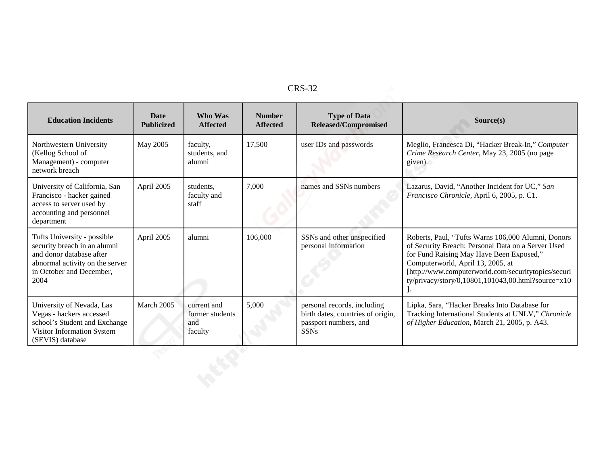| n c<br>יי<br>. . |
|------------------|
|------------------|

|                                                                                                                                                                |                                  |                                                  |                                  | <b>CRS-32</b>                                                                                            |                                                                                                                                                                                                                                                                                                           |
|----------------------------------------------------------------------------------------------------------------------------------------------------------------|----------------------------------|--------------------------------------------------|----------------------------------|----------------------------------------------------------------------------------------------------------|-----------------------------------------------------------------------------------------------------------------------------------------------------------------------------------------------------------------------------------------------------------------------------------------------------------|
| <b>Education Incidents</b>                                                                                                                                     | <b>Date</b><br><b>Publicized</b> | Who Was<br><b>Affected</b>                       | <b>Number</b><br><b>Affected</b> | <b>Type of Data</b><br><b>Released/Compromised</b>                                                       | Source(s)                                                                                                                                                                                                                                                                                                 |
| Northwestern University<br>(Kellog School of<br>Management) - computer<br>network breach                                                                       | May 2005                         | faculty,<br>students, and<br>alumni              | 17,500                           | user IDs and passwords                                                                                   | Meglio, Francesca Di, "Hacker Break-In," Computer<br>Crime Research Center, May 23, 2005 (no page<br>given).                                                                                                                                                                                              |
| University of California, San<br>Francisco - hacker gained<br>access to server used by<br>accounting and personnel<br>department                               | April 2005                       | students,<br>faculty and<br>staff                | 7,000                            | names and SSNs numbers                                                                                   | Lazarus, David, "Another Incident for UC," San<br>Francisco Chronicle, April 6, 2005, p. C1.                                                                                                                                                                                                              |
| Tufts University - possible<br>security breach in an alumni<br>and donor database after<br>abnormal activity on the server<br>in October and December,<br>2004 | April 2005                       | alumni                                           | 106,000                          | SSNs and other unspecified<br>personal information                                                       | Roberts, Paul, "Tufts Warns 106,000 Alumni, Donors<br>of Security Breach: Personal Data on a Server Used<br>for Fund Raising May Have Been Exposed,"<br>Computerworld, April 13, 2005, at<br>[http://www.computerworld.com/securitytopics/securi<br>ty/privacy/story/0,10801,101043,00.html?source= $x10$ |
| University of Nevada, Las<br>Vegas - hackers accessed<br>school's Student and Exchange<br>Visitor Information System<br>(SEVIS) database                       | March 2005                       | current and<br>former students<br>and<br>faculty | 5,000                            | personal records, including<br>birth dates, countries of origin,<br>passport numbers, and<br><b>SSNs</b> | Lipka, Sara, "Hacker Breaks Into Database for<br>Tracking International Students at UNLV," Chronicle<br>of Higher Education, March 21, 2005, p. A43.                                                                                                                                                      |
|                                                                                                                                                                |                                  |                                                  |                                  |                                                                                                          |                                                                                                                                                                                                                                                                                                           |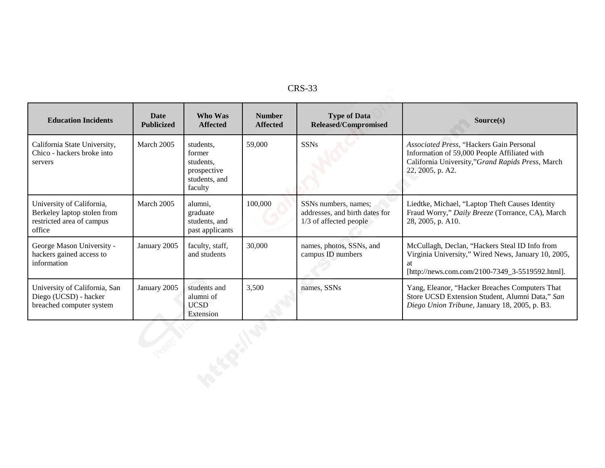|                                                                                                 |                                  |                                                                             |                                  | <b>CRS-33</b>                                                                    |                                                                                                                                                                  |
|-------------------------------------------------------------------------------------------------|----------------------------------|-----------------------------------------------------------------------------|----------------------------------|----------------------------------------------------------------------------------|------------------------------------------------------------------------------------------------------------------------------------------------------------------|
| <b>Education Incidents</b>                                                                      | <b>Date</b><br><b>Publicized</b> | Who Was<br><b>Affected</b>                                                  | <b>Number</b><br><b>Affected</b> | <b>Type of Data</b><br><b>Released/Compromised</b>                               | Source(s)                                                                                                                                                        |
| California State University,<br>Chico - hackers broke into<br>servers                           | March 2005                       | students,<br>former<br>students,<br>prospective<br>students, and<br>faculty | 59,000                           | <b>SSNs</b>                                                                      | Associated Press, "Hackers Gain Personal<br>Information of 59,000 People Affiliated with<br>California University,"Grand Rapids Press, March<br>22, 2005, p. A2. |
| University of California,<br>Berkeley laptop stolen from<br>restricted area of campus<br>office | March 2005                       | alumni,<br>graduate<br>students, and<br>past applicants                     | 100,000                          | SSNs numbers, names;<br>addresses, and birth dates for<br>1/3 of affected people | Liedtke, Michael, "Laptop Theft Causes Identity<br>Fraud Worry," Daily Breeze (Torrance, CA), March<br>28, 2005, p. A10.                                         |
| George Mason University -<br>hackers gained access to<br>information                            | January 2005                     | faculty, staff,<br>and students                                             | 30,000                           | names, photos, SSNs, and<br>campus ID numbers                                    | McCullagh, Declan, "Hackers Steal ID Info from<br>Virginia University," Wired News, January 10, 2005,<br>[http://news.com.com/2100-7349_3-5519592.html].         |
| University of California, San<br>Diego (UCSD) - hacker<br>breached computer system              | January 2005                     | students and<br>alumni of<br><b>UCSD</b><br>Extension                       | 3,500                            | names, SSNs                                                                      | Yang, Eleanor, "Hacker Breaches Computers That<br>Store UCSD Extension Student, Alumni Data," San<br>Diego Union Tribune, January 18, 2005, p. B3.               |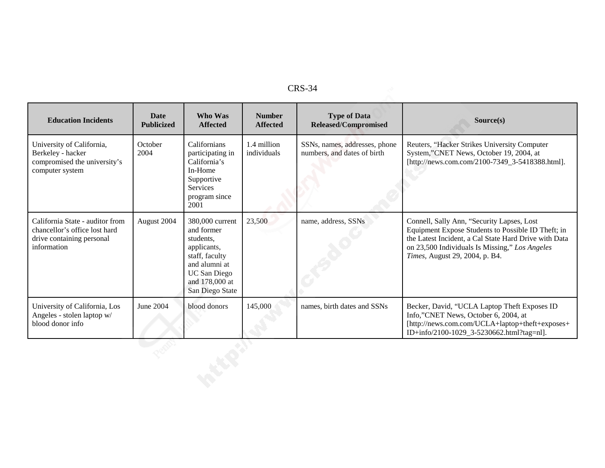| л. |
|----|
|----|

| <b>CRS-34</b>                                                                                                |                                  |                                                                                                                                                          |                                  |                                                              |                                                                                                                                                                                                                                               |  |  |
|--------------------------------------------------------------------------------------------------------------|----------------------------------|----------------------------------------------------------------------------------------------------------------------------------------------------------|----------------------------------|--------------------------------------------------------------|-----------------------------------------------------------------------------------------------------------------------------------------------------------------------------------------------------------------------------------------------|--|--|
| <b>Education Incidents</b>                                                                                   | <b>Date</b><br><b>Publicized</b> | Who Was<br><b>Affected</b>                                                                                                                               | <b>Number</b><br><b>Affected</b> | <b>Type of Data</b><br><b>Released/Compromised</b>           | Source(s)                                                                                                                                                                                                                                     |  |  |
| University of California,<br>Berkeley - hacker<br>compromised the university's<br>computer system            | October<br>2004                  | Californians<br>participating in<br>California's<br>In-Home<br>Supportive<br>Services<br>program since<br>2001                                           | 1.4 million<br>individuals       | SSNs, names, addresses, phone<br>numbers, and dates of birth | Reuters, "Hacker Strikes University Computer<br>System,"CNET News, October 19, 2004, at<br>[http://news.com.com/2100-7349_3-5418388.html].                                                                                                    |  |  |
| California State - auditor from<br>chancellor's office lost hard<br>drive containing personal<br>information | August 2004                      | 380,000 current<br>and former<br>students,<br>applicants,<br>staff, faculty<br>and alumni at<br><b>UC</b> San Diego<br>and 178,000 at<br>San Diego State | 23,500                           | name, address, SSNs                                          | Connell, Sally Ann, "Security Lapses, Lost<br>Equipment Expose Students to Possible ID Theft; in<br>the Latest Incident, a Cal State Hard Drive with Data<br>on 23,500 Individuals Is Missing," Los Angeles<br>Times, August 29, 2004, p. B4. |  |  |
| University of California, Los<br>Angeles - stolen laptop w/<br>blood donor info                              | June 2004                        | blood donors                                                                                                                                             | 145,000                          | names, birth dates and SSNs                                  | Becker, David, "UCLA Laptop Theft Exposes ID<br>Info,"CNET News, October 6, 2004, at<br>[http://news.com.com/UCLA+laptop+theft+exposes+<br>ID+info/2100-1029_3-5230662.html?tag=nl].                                                          |  |  |
|                                                                                                              |                                  |                                                                                                                                                          |                                  |                                                              |                                                                                                                                                                                                                                               |  |  |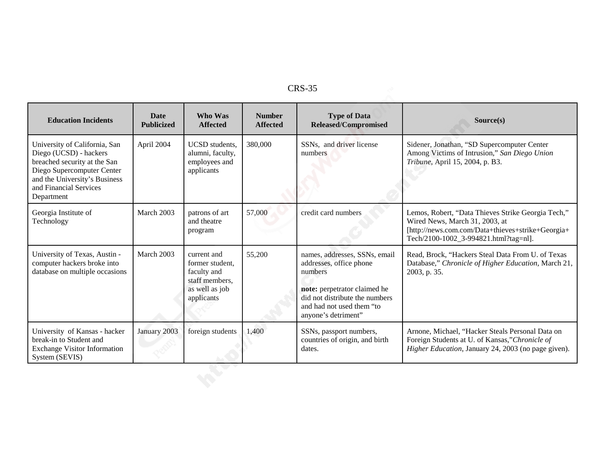| י<br>v.<br>v<br>. . |
|---------------------|
|---------------------|

| <b>CRS-35</b>                                                                                                                                                                                  |                                  |                                                                                                 |                                  |                                                                                                                                                                                           |                                                                                                                                                                                    |  |  |
|------------------------------------------------------------------------------------------------------------------------------------------------------------------------------------------------|----------------------------------|-------------------------------------------------------------------------------------------------|----------------------------------|-------------------------------------------------------------------------------------------------------------------------------------------------------------------------------------------|------------------------------------------------------------------------------------------------------------------------------------------------------------------------------------|--|--|
| <b>Education Incidents</b>                                                                                                                                                                     | <b>Date</b><br><b>Publicized</b> | Who Was<br><b>Affected</b>                                                                      | <b>Number</b><br><b>Affected</b> | <b>Type of Data</b><br>Released/Compromised                                                                                                                                               | Source(s)                                                                                                                                                                          |  |  |
| University of California, San<br>Diego (UCSD) - hackers<br>breached security at the San<br>Diego Supercomputer Center<br>and the University's Business<br>and Financial Services<br>Department | April 2004                       | <b>UCSD</b> students.<br>alumni, faculty,<br>employees and<br>applicants                        | 380,000                          | SSNs, and driver license<br>numbers                                                                                                                                                       | Sidener, Jonathan, "SD Supercomputer Center<br>Among Victims of Intrusion," San Diego Union<br>Tribune, April 15, 2004, p. B3.                                                     |  |  |
| Georgia Institute of<br>Technology                                                                                                                                                             | March 2003                       | patrons of art<br>and theatre<br>program                                                        | 57,000                           | credit card numbers                                                                                                                                                                       | Lemos, Robert, "Data Thieves Strike Georgia Tech,"<br>Wired News, March 31, 2003, at<br>[http://news.com.com/Data+thieves+strike+Georgia+<br>Tech/2100-1002_3-994821.html?tag=nl]. |  |  |
| University of Texas, Austin -<br>computer hackers broke into<br>database on multiple occasions                                                                                                 | March 2003                       | current and<br>former student.<br>faculty and<br>staff members.<br>as well as job<br>applicants | 55,200                           | names, addresses, SSNs, email<br>addresses, office phone<br>numbers<br>note: perpetrator claimed he<br>did not distribute the numbers<br>and had not used them "to<br>anyone's detriment" | Read, Brock, "Hackers Steal Data From U. of Texas<br>Database," Chronicle of Higher Education, March 21,<br>2003, p. 35.                                                           |  |  |
| University of Kansas - hacker<br>break-in to Student and<br><b>Exchange Visitor Information</b><br>System (SEVIS)                                                                              | January 2003                     | foreign students                                                                                | 1,400                            | SSNs, passport numbers,<br>countries of origin, and birth<br>dates.                                                                                                                       | Arnone, Michael, "Hacker Steals Personal Data on<br>Foreign Students at U. of Kansas,"Chronicle of<br>Higher Education, January 24, 2003 (no page given).                          |  |  |
|                                                                                                                                                                                                |                                  |                                                                                                 |                                  |                                                                                                                                                                                           |                                                                                                                                                                                    |  |  |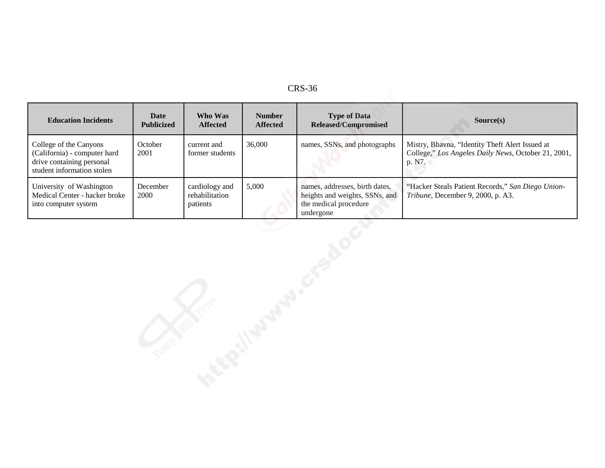| RS-<br>╭<br>'n |  |
|----------------|--|
|----------------|--|

| <b>Education Incidents</b>                                                                                        | Date<br><b>Publicized</b> | Who Was<br><b>Affected</b>                   | <b>Number</b><br><b>Affected</b> | <b>Type of Data</b><br><b>Released/Compromised</b>                                                     | Source(s)                                                                                                        |
|-------------------------------------------------------------------------------------------------------------------|---------------------------|----------------------------------------------|----------------------------------|--------------------------------------------------------------------------------------------------------|------------------------------------------------------------------------------------------------------------------|
| College of the Canyons<br>(California) - computer hard<br>drive containing personal<br>student information stolen | October<br>2001           | current and<br>former students               | 36,000                           | names, SSNs, and photographs                                                                           | Mistry, Bhavna, "Identity Theft Alert Issued at<br>College," Los Angeles Daily News, October 21, 2001,<br>p. N7. |
| University of Washington<br>Medical Center - hacker broke<br>into computer system                                 | December<br>2000          | cardiology and<br>rehabilitation<br>patients | 5,000                            | names, addresses, birth dates,<br>heights and weights, SSNs, and<br>the medical procedure<br>undergone | "Hacker Steals Patient Records," San Diego Union-<br>Tribune, December 9, 2000, p. A3.                           |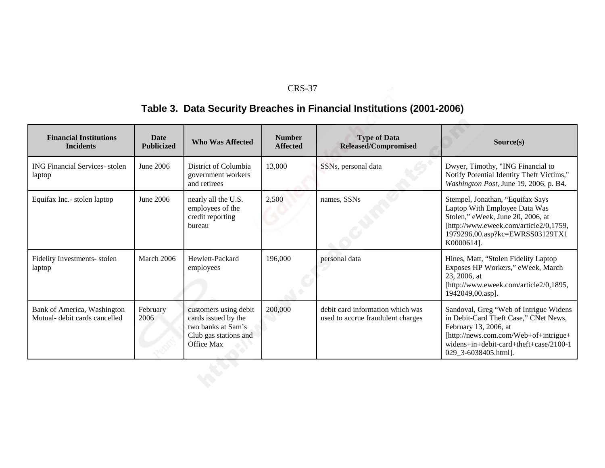# **Table 3. Data Security Breaches in Financial Institutions (2001-2006)**

| <b>Financial Institutions</b><br><b>Incidents</b>            | <b>Date</b><br><b>Publicized</b> | <b>Who Was Affected</b>                                                                                   | <b>Number</b><br><b>Affected</b> | <b>Type of Data</b><br><b>Released/Compromised</b>                    | Source(s)                                                                                                                                                                                                           |
|--------------------------------------------------------------|----------------------------------|-----------------------------------------------------------------------------------------------------------|----------------------------------|-----------------------------------------------------------------------|---------------------------------------------------------------------------------------------------------------------------------------------------------------------------------------------------------------------|
| <b>ING Financial Services</b> -stolen<br>laptop              | June 2006                        | District of Columbia<br>government workers<br>and retirees                                                | 13,000                           | SSNs, personal data                                                   | Dwyer, Timothy, "ING Financial to<br>Notify Potential Identity Theft Victims,"<br>Washington Post, June 19, 2006, p. B4.                                                                                            |
| Equifax Inc.- stolen laptop                                  | June 2006                        | nearly all the U.S.<br>employees of the<br>credit reporting<br>bureau                                     | 2,500                            | names, SSNs                                                           | Stempel, Jonathan, "Equifax Says<br>Laptop With Employee Data Was<br>Stolen," eWeek, June 20, 2006, at<br>[http://www.eweek.com/article2/0,1759,<br>1979296,00.asp?kc=EWRSS03129TX1<br>K0000614].                   |
| Fidelity Investments-stolen<br>laptop                        | March 2006                       | Hewlett-Packard<br>employees                                                                              | 196,000                          | personal data                                                         | Hines, Matt, "Stolen Fidelity Laptop<br>Exposes HP Workers," eWeek, March<br>23, 2006, at<br>[http://www.eweek.com/article2/0,1895,<br>1942049,00.asp].                                                             |
| Bank of America, Washington<br>Mutual- debit cards cancelled | February<br>2006                 | customers using debit<br>cards issued by the<br>two banks at Sam's<br>Club gas stations and<br>Office Max | 200,000                          | debit card information which was<br>used to accrue fraudulent charges | Sandoval, Greg "Web of Intrigue Widens<br>in Debit-Card Theft Case," CNet News,<br>February 13, 2006, at<br>[http://news.com.com/Web+of+intrigue+<br>widens+in+debit-card+theft+case/2100-1<br>029_3-6038405.html]. |
|                                                              |                                  |                                                                                                           |                                  |                                                                       |                                                                                                                                                                                                                     |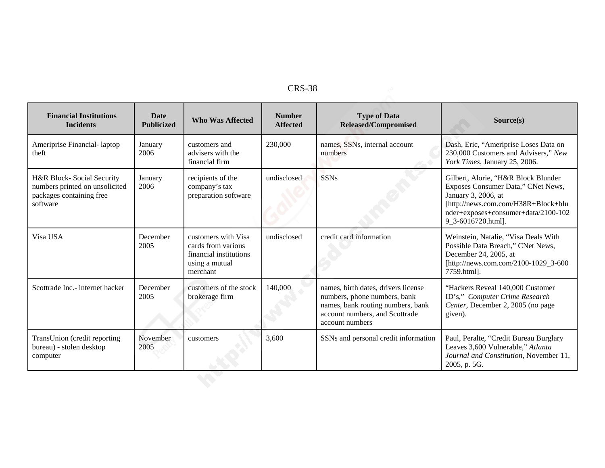| RS-<br>Λ |
|----------|
|----------|

| <b>Financial Institutions</b><br><b>Incidents</b>                                                   | <b>Date</b><br><b>Publicized</b> | <b>Who Was Affected</b>                                                                           | <b>Number</b><br><b>Affected</b> | <b>Type of Data</b><br>Released/Compromised                                                                                                                   | Source(s)                                                                                                                                                                                            |
|-----------------------------------------------------------------------------------------------------|----------------------------------|---------------------------------------------------------------------------------------------------|----------------------------------|---------------------------------------------------------------------------------------------------------------------------------------------------------------|------------------------------------------------------------------------------------------------------------------------------------------------------------------------------------------------------|
| Ameriprise Financial-laptop<br>theft                                                                | January<br>2006                  | customers and<br>advisers with the<br>financial firm                                              | 230,000                          | names, SSNs, internal account<br>numbers                                                                                                                      | Dash, Eric, "Ameriprise Loses Data on<br>230,000 Customers and Advisers," New<br>York Times, January 25, 2006.                                                                                       |
| H&R Block-Social Security<br>numbers printed on unsolicited<br>packages containing free<br>software | January<br>2006                  | recipients of the<br>company's tax<br>preparation software                                        | undisclosed                      | <b>SSNs</b>                                                                                                                                                   | Gilbert, Alorie, "H&R Block Blunder<br>Exposes Consumer Data," CNet News,<br>January 3, 2006, at<br>[http://news.com.com/H38R+Block+blu<br>nder+exposes+consumer+data/2100-102<br>9_3-6016720.html]. |
| Visa USA                                                                                            | December<br>2005                 | customers with Visa<br>cards from various<br>financial institutions<br>using a mutual<br>merchant | undisclosed                      | credit card information                                                                                                                                       | Weinstein, Natalie, "Visa Deals With<br>Possible Data Breach," CNet News,<br>December 24, 2005, at<br>[http://news.com.com/2100-1029_3-600<br>7759.html].                                            |
| Scottrade Inc.- internet hacker                                                                     | December<br>2005                 | customers of the stock<br>brokerage firm                                                          | 140,000                          | names, birth dates, drivers license<br>numbers, phone numbers, bank<br>names, bank routing numbers, bank<br>account numbers, and Scottrade<br>account numbers | "Hackers Reveal 140,000 Customer<br>ID's," Computer Crime Research<br>Center, December 2, 2005 (no page<br>given).                                                                                   |
| TransUnion (credit reporting<br>bureau) - stolen desktop<br>computer                                | November<br>2005                 | customers                                                                                         | 3,600                            | SSNs and personal credit information                                                                                                                          | Paul, Peralte, "Credit Bureau Burglary<br>Leaves 3,600 Vulnerable," Atlanta<br>Journal and Constitution, November 11,<br>2005, p. 5G.                                                                |
|                                                                                                     |                                  |                                                                                                   |                                  |                                                                                                                                                               |                                                                                                                                                                                                      |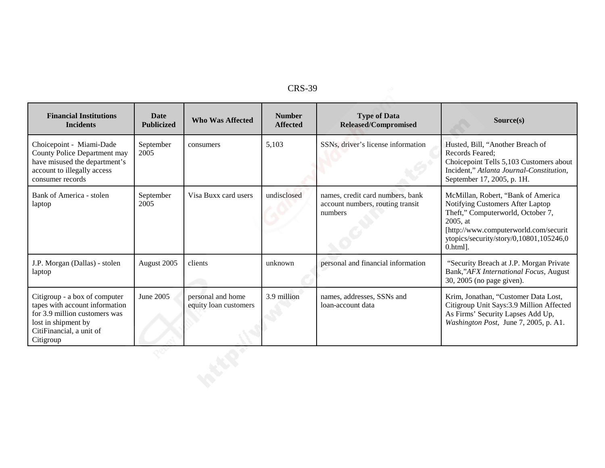| D<br>╰<br>ω<br>w |  |
|------------------|--|
|------------------|--|

| <b>Financial Institutions</b><br><b>Incidents</b>                                                                                                                | <b>Date</b><br><b>Publicized</b> | <b>Who Was Affected</b>                    | <b>Number</b><br><b>Affected</b> | <b>Type of Data</b><br>Released/Compromised                                     | Source(s)                                                                                                                                                                                                                 |
|------------------------------------------------------------------------------------------------------------------------------------------------------------------|----------------------------------|--------------------------------------------|----------------------------------|---------------------------------------------------------------------------------|---------------------------------------------------------------------------------------------------------------------------------------------------------------------------------------------------------------------------|
| Choicepoint - Miami-Dade<br>County Police Department may<br>have misused the department's<br>account to illegally access<br>consumer records                     | September<br>2005                | consumers                                  | 5,103                            | SSNs, driver's license information                                              | Husted, Bill, "Another Breach of<br>Records Feared:<br>Choicepoint Tells 5,103 Customers about<br>Incident," Atlanta Journal-Constitution,<br>September 17, 2005, p. 1H.                                                  |
| Bank of America - stolen<br>laptop                                                                                                                               | September<br>2005                | Visa Buxx card users                       | undisclosed                      | names, credit card numbers, bank<br>account numbers, routing transit<br>numbers | McMillan, Robert, "Bank of America<br>Notifying Customers After Laptop<br>Theft," Computerworld, October 7,<br>2005, at<br>[http://www.computerworld.com/securit<br>ytopics/security/story/0,10801,105246,0<br>$0.html$ . |
| J.P. Morgan (Dallas) - stolen<br>laptop                                                                                                                          | August 2005                      | clients                                    | unknown                          | personal and financial information                                              | "Security Breach at J.P. Morgan Private<br>Bank,"AFX International Focus, August<br>30, 2005 (no page given).                                                                                                             |
| Citigroup - a box of computer<br>tapes with account information<br>for 3.9 million customers was<br>lost in shipment by<br>CitiFinancial, a unit of<br>Citigroup | June 2005                        | personal and home<br>equity loan customers | 3.9 million                      | names, addresses, SSNs and<br>loan-account data                                 | Krim, Jonathan, "Customer Data Lost,<br>Citigroup Unit Says: 3.9 Million Affected<br>As Firms' Security Lapses Add Up,<br>Washington Post, June 7, 2005, p. A1.                                                           |
|                                                                                                                                                                  |                                  |                                            |                                  |                                                                                 |                                                                                                                                                                                                                           |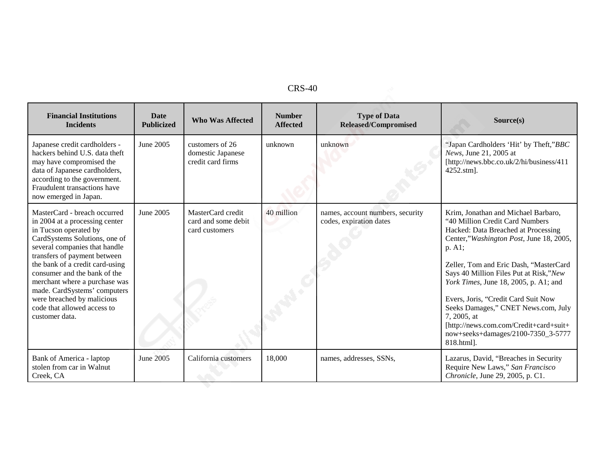| n.<br>40<br>v<br>- ب |  |
|----------------------|--|
|----------------------|--|

| <b>Financial Institutions</b><br><b>Incidents</b>                                                                                                                                                                                                                                                                                                                                                            | <b>Date</b><br><b>Publicized</b> | <b>Who Was Affected</b>                                    | <b>Number</b><br><b>Affected</b> | <b>Type of Data</b><br>Released/Compromised                 | Source(s)                                                                                                                                                                                                                                                                                                                                                                                                                                                                                  |
|--------------------------------------------------------------------------------------------------------------------------------------------------------------------------------------------------------------------------------------------------------------------------------------------------------------------------------------------------------------------------------------------------------------|----------------------------------|------------------------------------------------------------|----------------------------------|-------------------------------------------------------------|--------------------------------------------------------------------------------------------------------------------------------------------------------------------------------------------------------------------------------------------------------------------------------------------------------------------------------------------------------------------------------------------------------------------------------------------------------------------------------------------|
| Japanese credit cardholders -<br>hackers behind U.S. data theft<br>may have compromised the<br>data of Japanese cardholders,<br>according to the government.<br>Fraudulent transactions have<br>now emerged in Japan.                                                                                                                                                                                        | June 2005                        | customers of 26<br>domestic Japanese<br>credit card firms  | unknown                          | unknown                                                     | "Japan Cardholders 'Hit' by Theft,"BBC<br>News, June 21, 2005 at<br>[http://news.bbc.co.uk/2/hi/business/411<br>4252.stm].                                                                                                                                                                                                                                                                                                                                                                 |
| MasterCard - breach occurred<br>in 2004 at a processing center<br>in Tucson operated by<br>CardSystems Solutions, one of<br>several companies that handle<br>transfers of payment between<br>the bank of a credit card-using<br>consumer and the bank of the<br>merchant where a purchase was<br>made. CardSystems' computers<br>were breached by malicious<br>code that allowed access to<br>customer data. | June 2005                        | MasterCard credit<br>card and some debit<br>card customers | 40 million                       | names, account numbers, security<br>codes, expiration dates | Krim, Jonathan and Michael Barbaro,<br>"40 Million Credit Card Numbers<br>Hacked: Data Breached at Processing<br>Center,"Washington Post, June 18, 2005,<br>p. A1;<br>Zeller, Tom and Eric Dash, "MasterCard<br>Says 40 Million Files Put at Risk,"New<br>York Times, June 18, 2005, p. A1; and<br>Evers, Joris, "Credit Card Suit Now<br>Seeks Damages," CNET News.com, July<br>7, 2005, at<br>[http://news.com.com/Credit+card+suit+<br>now+seeks+damages/2100-7350_3-5777<br>818.html]. |
| Bank of America - laptop<br>stolen from car in Walnut<br>Creek, CA                                                                                                                                                                                                                                                                                                                                           | June 2005                        | California customers                                       | 18,000                           | names, addresses, SSNs,                                     | Lazarus, David, "Breaches in Security<br>Require New Laws," San Francisco<br>Chronicle, June 29, 2005, p. C1.                                                                                                                                                                                                                                                                                                                                                                              |
|                                                                                                                                                                                                                                                                                                                                                                                                              |                                  |                                                            |                                  |                                                             |                                                                                                                                                                                                                                                                                                                                                                                                                                                                                            |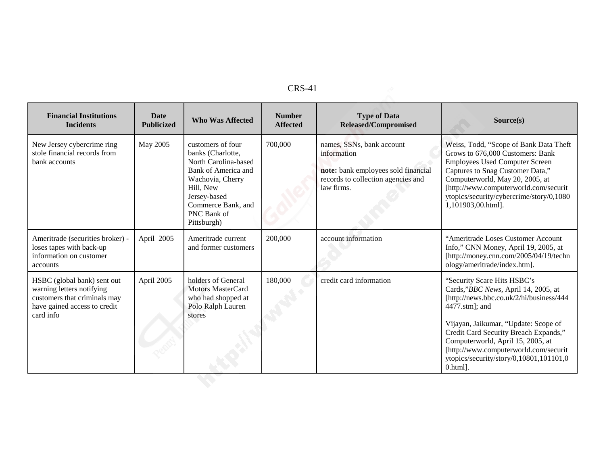| л |
|---|
|---|

|            |                                                                                                                                                                                            | <b>Affected</b> | <b>Released/Compromised</b>                                                                                                         | Source(s)                                                                                                                                                                                                                                                                                                                                                 |
|------------|--------------------------------------------------------------------------------------------------------------------------------------------------------------------------------------------|-----------------|-------------------------------------------------------------------------------------------------------------------------------------|-----------------------------------------------------------------------------------------------------------------------------------------------------------------------------------------------------------------------------------------------------------------------------------------------------------------------------------------------------------|
| May 2005   | customers of four<br>banks (Charlotte,<br>North Carolina-based<br>Bank of America and<br>Wachovia, Cherry<br>Hill, New<br>Jersey-based<br>Commerce Bank, and<br>PNC Bank of<br>Pittsburgh) | 700,000         | names, SSNs, bank account<br>information<br>note: bank employees sold financial<br>records to collection agencies and<br>law firms. | Weiss, Todd, "Scope of Bank Data Theft<br>Grows to 676,000 Customers: Bank<br><b>Employees Used Computer Screen</b><br>Captures to Snag Customer Data,"<br>Computerworld, May 20, 2005, at<br>[http://www.computerworld.com/securit<br>ytopics/security/cybercrime/story/0,1080<br>1,101903,00.html].                                                     |
| April 2005 | Ameritrade current<br>and former customers                                                                                                                                                 | 200,000         | account information                                                                                                                 | "Ameritrade Loses Customer Account<br>Info," CNN Money, April 19, 2005, at<br>[http://money.cnn.com/2005/04/19/techn<br>ology/ameritrade/index.htm].                                                                                                                                                                                                      |
| April 2005 | holders of General<br><b>Motors MasterCard</b><br>who had shopped at<br>Polo Ralph Lauren<br>stores                                                                                        | 180,000         | credit card information                                                                                                             | "Security Scare Hits HSBC's<br>Cards,"BBC News, April 14, 2005, at<br>[http://news.bbc.co.uk/2/hi/business/444<br>4477.stm]; and<br>Vijayan, Jaikumar, "Update: Scope of<br>Credit Card Security Breach Expands,"<br>Computerworld, April 15, 2005, at<br>[http://www.computerworld.com/securit<br>ytopics/security/story/0,10801,101101,0<br>$0.html$ ]. |
|            |                                                                                                                                                                                            |                 |                                                                                                                                     |                                                                                                                                                                                                                                                                                                                                                           |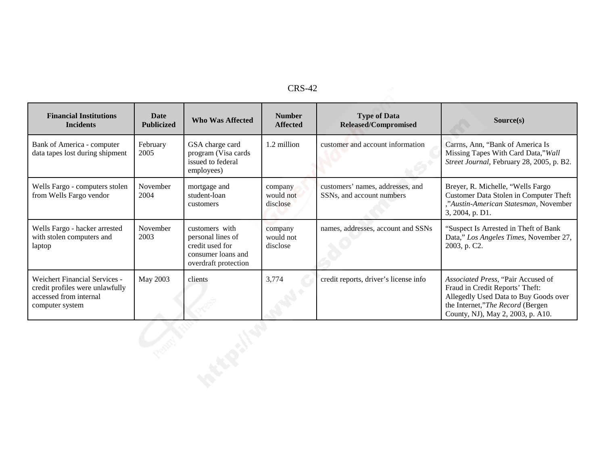|--|

|                                                                                                                      |                           |                                                                                                      | <b>CRS-42</b>                    |                                                               |                                                                                                                                                                                         |
|----------------------------------------------------------------------------------------------------------------------|---------------------------|------------------------------------------------------------------------------------------------------|----------------------------------|---------------------------------------------------------------|-----------------------------------------------------------------------------------------------------------------------------------------------------------------------------------------|
| <b>Financial Institutions</b><br><b>Incidents</b>                                                                    | Date<br><b>Publicized</b> | <b>Who Was Affected</b>                                                                              | <b>Number</b><br><b>Affected</b> | <b>Type of Data</b><br>Released/Compromised                   | Source(s)                                                                                                                                                                               |
| Bank of America - computer<br>data tapes lost during shipment                                                        | February<br>2005          | GSA charge card<br>program (Visa cards<br>issued to federal<br>employees)                            | 1.2 million                      | customer and account information                              | Carrns, Ann, "Bank of America Is<br>Missing Tapes With Card Data," Wall<br>Street Journal, February 28, 2005, p. B2.                                                                    |
| Wells Fargo - computers stolen<br>from Wells Fargo vendor                                                            | November<br>2004          | mortgage and<br>student-loan<br>customers                                                            | company<br>would not<br>disclose | customers' names, addresses, and<br>SSNs, and account numbers | Breyer, R. Michelle, "Wells Fargo<br>Customer Data Stolen in Computer Theft<br>"Austin-American Statesman, November<br>3, 2004, p. D1.                                                  |
| Wells Fargo - hacker arrested<br>with stolen computers and<br>laptop                                                 | November<br>2003          | customers with<br>personal lines of<br>credit used for<br>consumer loans and<br>overdraft protection | company<br>would not<br>disclose | names, addresses, account and SSNs                            | "Suspect Is Arrested in Theft of Bank<br>Data," Los Angeles Times, November 27,<br>2003, p. C2.                                                                                         |
| <b>Weichert Financial Services -</b><br>credit profiles were unlawfully<br>accessed from internal<br>computer system | May 2003                  | clients                                                                                              | 3,774                            | credit reports, driver's license info                         | Associated Press, "Pair Accused of<br>Fraud in Credit Reports' Theft:<br>Allegedly Used Data to Buy Goods over<br>the Internet,"The Record (Bergen<br>County, NJ), May 2, 2003, p. A10. |
|                                                                                                                      |                           |                                                                                                      |                                  |                                                               |                                                                                                                                                                                         |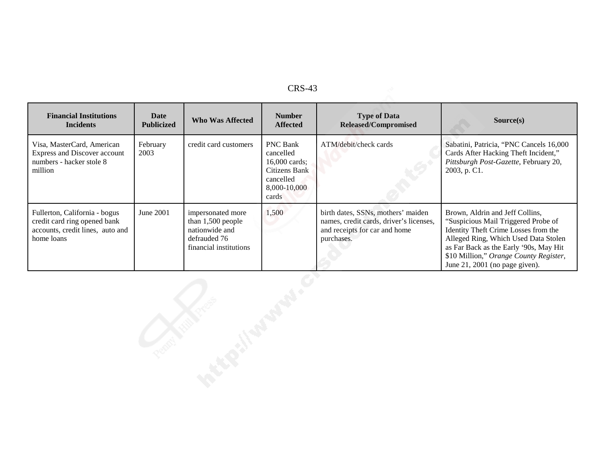| <b>Financial Institutions</b><br><b>Incidents</b>                                                               | <b>Date</b><br><b>Publicized</b> | <b>Who Was Affected</b>                                                                            | <b>Number</b><br><b>Affected</b>                                                                     | <b>Type of Data</b><br>Released/Compromised                                                                                  | Source(s)                                                                                                                                                                                                                                                                    |
|-----------------------------------------------------------------------------------------------------------------|----------------------------------|----------------------------------------------------------------------------------------------------|------------------------------------------------------------------------------------------------------|------------------------------------------------------------------------------------------------------------------------------|------------------------------------------------------------------------------------------------------------------------------------------------------------------------------------------------------------------------------------------------------------------------------|
| Visa, MasterCard, American<br>Express and Discover account<br>numbers - hacker stole 8<br>million               | February<br>2003                 | credit card customers                                                                              | <b>PNC Bank</b><br>cancelled<br>16,000 cards;<br>Citizens Bank<br>cancelled<br>8,000-10,000<br>cards | ATM/debit/check cards                                                                                                        | Sabatini, Patricia, "PNC Cancels 16,000<br>Cards After Hacking Theft Incident,"<br>Pittsburgh Post-Gazette, February 20,<br>2003, p. C1.                                                                                                                                     |
| Fullerton, California - bogus<br>credit card ring opened bank<br>accounts, credit lines, auto and<br>home loans | June 2001                        | impersonated more<br>than 1,500 people<br>nationwide and<br>defrauded 76<br>financial institutions | 1,500                                                                                                | birth dates, SSNs, mothers' maiden<br>names, credit cards, driver's licenses,<br>and receipts for car and home<br>purchases. | Brown, Aldrin and Jeff Collins,<br>"Suspicious Mail Triggered Probe of<br>Identity Theft Crime Losses from the<br>Alleged Ring, Which Used Data Stolen<br>as Far Back as the Early '90s, May Hit<br>\$10 Million," Orange County Register,<br>June 21, 2001 (no page given). |
|                                                                                                                 |                                  |                                                                                                    |                                                                                                      |                                                                                                                              |                                                                                                                                                                                                                                                                              |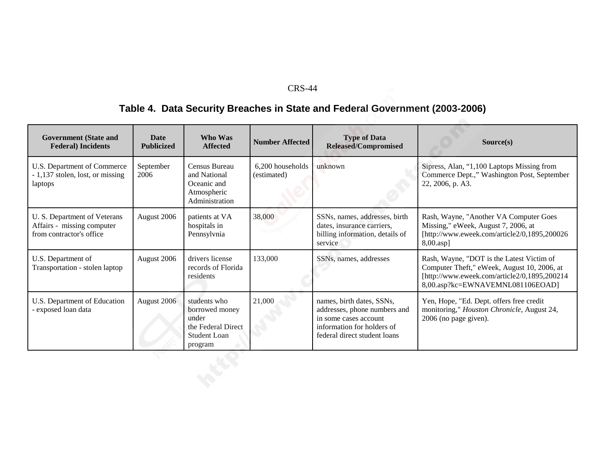# **Table 4. Data Security Breaches in State and Federal Government (2003-2006)**

| <b>Government (State and</b><br><b>Federal</b> ) Incidents                             | <b>Date</b><br><b>Publicized</b> | Who Was<br><b>Affected</b>                                                                      | <b>Number Affected</b>          | <b>Type of Data</b><br><b>Released/Compromised</b>                                                                                               | Source(s)                                                                                                                                                                    |
|----------------------------------------------------------------------------------------|----------------------------------|-------------------------------------------------------------------------------------------------|---------------------------------|--------------------------------------------------------------------------------------------------------------------------------------------------|------------------------------------------------------------------------------------------------------------------------------------------------------------------------------|
| U.S. Department of Commerce<br>- 1,137 stolen, lost, or missing<br>laptops             | September<br>2006                | Census Bureau<br>and National<br>Oceanic and<br>Atmospheric<br>Administration                   | 6,200 households<br>(estimated) | unknown                                                                                                                                          | Sipress, Alan, "1,100 Laptops Missing from<br>Commerce Dept.," Washington Post, September<br>22, 2006, p. A3.                                                                |
| U. S. Department of Veterans<br>Affairs - missing computer<br>from contractor's office | August 2006                      | patients at VA<br>hospitals in<br>Pennsylvnia                                                   | 38,000                          | SSNs, names, addresses, birth<br>dates, insurance carriers,<br>billing information, details of<br>service                                        | Rash, Wayne, "Another VA Computer Goes<br>Missing," eWeek, August 7, 2006, at<br>[http://www.eweek.com/article2/0,1895,200026<br>8,00.asp]                                   |
| U.S. Department of<br>Transportation - stolen laptop                                   | August 2006                      | drivers license<br>records of Florida<br>residents                                              | 133,000                         | SSNs, names, addresses                                                                                                                           | Rash, Wayne, "DOT is the Latest Victim of<br>Computer Theft," eWeek, August 10, 2006, at<br>[http://www.eweek.com/article2/0,1895,200214<br>8,00.asp?kc=EWNAVEMNL081106EOAD] |
| U.S. Department of Education<br>- exposed loan data                                    | August 2006                      | students who<br>borrowed money<br>under<br>the Federal Direct<br><b>Student Loan</b><br>program | 21,000                          | names, birth dates, SSNs,<br>addresses, phone numbers and<br>in some cases account<br>information for holders of<br>federal direct student loans | Yen, Hope, "Ed. Dept. offers free credit<br>monitoring," Houston Chronicle, August 24,<br>2006 (no page given).                                                              |
|                                                                                        |                                  |                                                                                                 |                                 |                                                                                                                                                  |                                                                                                                                                                              |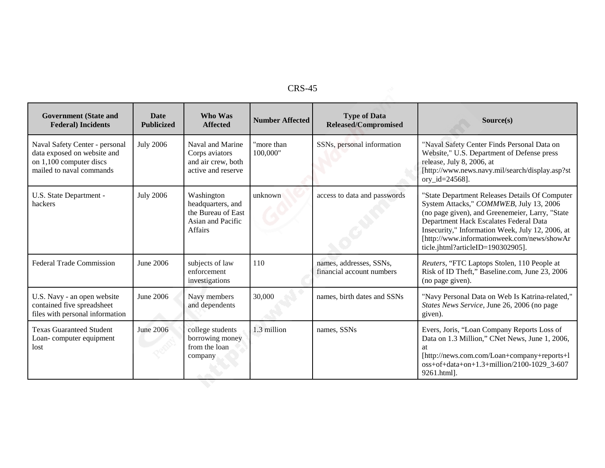| <b>Government</b> (State and<br><b>Federal</b> ) Incidents                                                           | <b>Date</b><br><b>Publicized</b> | Who Was<br><b>Affected</b>                                                                   | <b>Number Affected</b> | <b>Type of Data</b><br><b>Released/Compromised</b>   | Source(s)                                                                                                                                                                                                                                                                                                                      |
|----------------------------------------------------------------------------------------------------------------------|----------------------------------|----------------------------------------------------------------------------------------------|------------------------|------------------------------------------------------|--------------------------------------------------------------------------------------------------------------------------------------------------------------------------------------------------------------------------------------------------------------------------------------------------------------------------------|
| Naval Safety Center - personal<br>data exposed on website and<br>on 1,100 computer discs<br>mailed to naval commands | <b>July 2006</b>                 | Naval and Marine<br>Corps aviators<br>and air crew, both<br>active and reserve               | "more than<br>100,000" | SSNs, personal information                           | "Naval Safety Center Finds Personal Data on<br>Website," U.S. Department of Defense press<br>release, July 8, 2006, at<br>[http://www.news.navy.mil/search/display.asp?st<br>ory_id= $24568$ ].                                                                                                                                |
| U.S. State Department -<br>hackers                                                                                   | <b>July 2006</b>                 | Washington<br>headquarters, and<br>the Bureau of East<br>Asian and Pacific<br><b>Affairs</b> | unknown                | access to data and passwords                         | "State Department Releases Details Of Computer<br>System Attacks," COMMWEB, July 13, 2006<br>(no page given), and Greenemeier, Larry, "State<br>Department Hack Escalates Federal Data<br>Insecurity," Information Week, July 12, 2006, at<br>[http://www.informationweek.com/news/showAr<br>ticle.jhtml?articleID=190302905]. |
| <b>Federal Trade Commission</b>                                                                                      | June 2006                        | subjects of law<br>enforcement<br>investigations                                             | 110                    | names, addresses, SSNs,<br>financial account numbers | Reuters, "FTC Laptops Stolen, 110 People at<br>Risk of ID Theft," Baseline.com, June 23, 2006<br>(no page given).                                                                                                                                                                                                              |
| U.S. Navy - an open website<br>contained five spreadsheet<br>files with personal information                         | June 2006                        | Navy members<br>and dependents                                                               | 30,000                 | names, birth dates and SSNs                          | "Navy Personal Data on Web Is Katrina-related,"<br>States News Service, June 26, 2006 (no page<br>given).                                                                                                                                                                                                                      |
| <b>Texas Guaranteed Student</b><br>Loan-computer equipment<br>lost                                                   | <b>June 2006</b>                 | college students<br>borrowing money<br>from the loan<br>company                              | 1.3 million            | names, SSNs                                          | Evers, Joris, "Loan Company Reports Loss of<br>Data on 1.3 Million," CNet News, June 1, 2006,<br>at<br>[http://news.com.com/Loan+company+reports+1<br>oss+of+data+on+1.3+million/2100-1029_3-607<br>9261.html].                                                                                                                |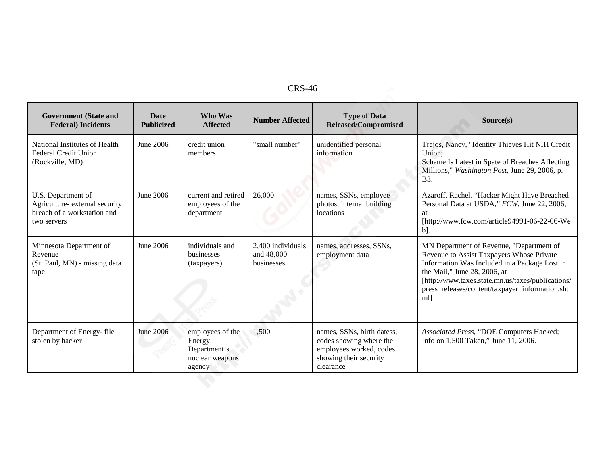| <b>Government</b> (State and<br><b>Federal</b> ) Incidents                                         | <b>Date</b><br><b>Publicized</b> | Who Was<br><b>Affected</b>                                              | <b>Number Affected</b>                        | <b>Type of Data</b><br><b>Released/Compromised</b>                                                                      | Source(s)                                                                                                                                                                                                                                                                            |
|----------------------------------------------------------------------------------------------------|----------------------------------|-------------------------------------------------------------------------|-----------------------------------------------|-------------------------------------------------------------------------------------------------------------------------|--------------------------------------------------------------------------------------------------------------------------------------------------------------------------------------------------------------------------------------------------------------------------------------|
| National Institutes of Health<br><b>Federal Credit Union</b><br>(Rockville, MD)                    | June 2006                        | credit union<br>members                                                 | "small number"                                | unidentified personal<br>information                                                                                    | Trejos, Nancy, "Identity Thieves Hit NIH Credit<br>Union:<br>Scheme Is Latest in Spate of Breaches Affecting<br>Millions," Washington Post, June 29, 2006, p.<br><b>B</b> 3.                                                                                                         |
| U.S. Department of<br>Agriculture- external security<br>breach of a workstation and<br>two servers | June 2006                        | current and retired<br>employees of the<br>department                   | 26,000                                        | names, SSNs, employee<br>photos, internal building<br>locations                                                         | Azaroff, Rachel, "Hacker Might Have Breached<br>Personal Data at USDA," FCW, June 22, 2006,<br><b>at</b><br>[http://www.fcw.com/article94991-06-22-06-We<br>$b$ ].                                                                                                                   |
| Minnesota Department of<br>Revenue<br>(St. Paul, MN) - missing data<br>tape                        | June 2006                        | individuals and<br>businesses<br>(taxpayers)                            | 2,400 individuals<br>and 48,000<br>businesses | names, addresses, SSNs,<br>employment data                                                                              | MN Department of Revenue, "Department of<br>Revenue to Assist Taxpayers Whose Private<br>Information Was Included in a Package Lost in<br>the Mail," June 28, 2006, at<br>[http://www.taxes.state.mn.us/taxes/publications/<br>press_releases/content/taxpayer_information.sht<br>ml |
| Department of Energy-file<br>stolen by hacker                                                      | <b>June 2006</b>                 | employees of the<br>Energy<br>Department's<br>nuclear weapons<br>agency | 1,500                                         | names, SSNs, birth datess,<br>codes showing where the<br>employees worked, codes<br>showing their security<br>clearance | Associated Press, "DOE Computers Hacked;<br>Info on 1,500 Taken," June 11, 2006.                                                                                                                                                                                                     |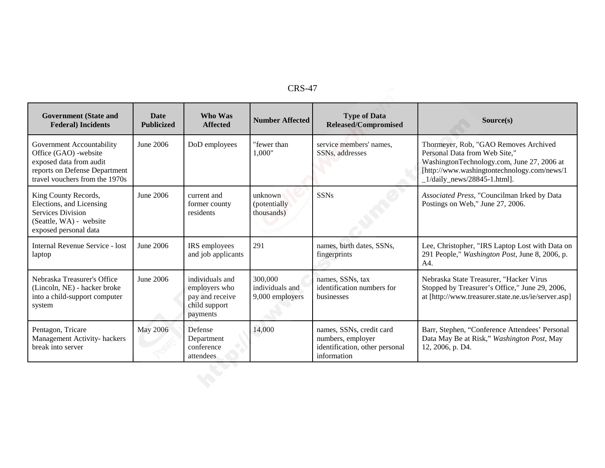| <b>Government</b> (State and<br><b>Federal</b> ) Incidents                                                                                       | <b>Date</b><br><b>Publicized</b> | Who Was<br><b>Affected</b>                                                       | <b>Number Affected</b>                        | <b>Type of Data</b><br><b>Released/Compromised</b>                                             | Source(s)                                                                                                                                                                                            |
|--------------------------------------------------------------------------------------------------------------------------------------------------|----------------------------------|----------------------------------------------------------------------------------|-----------------------------------------------|------------------------------------------------------------------------------------------------|------------------------------------------------------------------------------------------------------------------------------------------------------------------------------------------------------|
| Government Accountability<br>Office (GAO) -website<br>exposed data from audit<br>reports on Defense Department<br>travel vouchers from the 1970s | June 2006                        | DoD employees                                                                    | "fewer than<br>1,000"                         | service members' names.<br>SSNs, addresses                                                     | Thormeyer, Rob, "GAO Removes Archived<br>Personal Data from Web Site,"<br>WashingtonTechnology.com, June 27, 2006 at<br>[http://www.washingtontechnology.com/news/1<br>$1/daily_news/28845-1.html$ . |
| King County Records,<br>Elections, and Licensing<br>Services Division<br>(Seattle, WA) - website<br>exposed personal data                        | June 2006                        | current and<br>former county<br>residents                                        | unknown<br>(potentially)<br>thousands)        | <b>SSNs</b>                                                                                    | Associated Press, "Councilman Irked by Data<br>Postings on Web," June 27, 2006.                                                                                                                      |
| Internal Revenue Service - lost<br>laptop                                                                                                        | June 2006                        | IRS employees<br>and job applicants                                              | 291                                           | names, birth dates, SSNs,<br>fingerprints                                                      | Lee, Christopher, "IRS Laptop Lost with Data on<br>291 People," Washington Post, June 8, 2006, p.<br>A4.                                                                                             |
| Nebraska Treasurer's Office<br>(Lincoln, NE) - hacker broke<br>into a child-support computer<br>system                                           | June 2006                        | individuals and<br>employers who<br>pay and receive<br>child support<br>payments | 300,000<br>individuals and<br>9,000 employers | names, SSNs, tax<br>identification numbers for<br>businesses                                   | Nebraska State Treasurer, "Hacker Virus<br>Stopped by Treasurer's Office," June 29, 2006,<br>at [http://www.treasurer.state.ne.us/ie/server.asp]                                                     |
| Pentagon, Tricare<br>Management Activity- hackers<br>break into server                                                                           | <b>May 2006</b>                  | Defense<br>Department<br>conference<br>attendees                                 | 14,000                                        | names, SSNs, credit card<br>numbers, employer<br>identification, other personal<br>information | Barr, Stephen, "Conference Attendees' Personal<br>Data May Be at Risk," Washington Post, May<br>12, 2006, p. D4.                                                                                     |
|                                                                                                                                                  |                                  |                                                                                  |                                               |                                                                                                |                                                                                                                                                                                                      |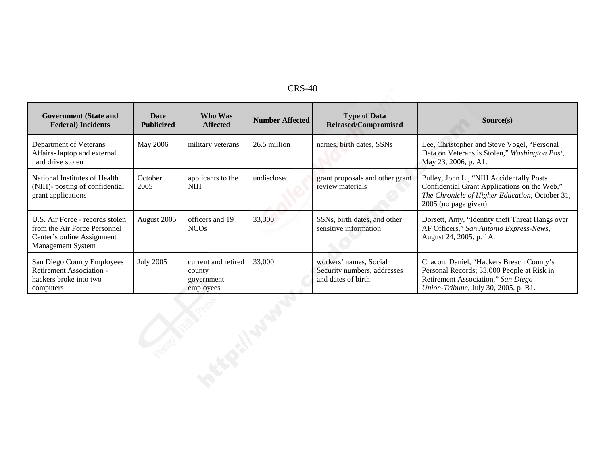| <b>Government</b> (State and<br><b>Federal</b> ) Incidents                                                                | Date<br><b>Publicized</b> | Who Was<br><b>Affected</b>                               | <b>Number Affected</b> | <b>Type of Data</b><br><b>Released/Compromised</b>                          | Source(s)                                                                                                                                                            |
|---------------------------------------------------------------------------------------------------------------------------|---------------------------|----------------------------------------------------------|------------------------|-----------------------------------------------------------------------------|----------------------------------------------------------------------------------------------------------------------------------------------------------------------|
| Department of Veterans<br>Affairs-laptop and external<br>hard drive stolen                                                | May 2006                  | military veterans                                        | 26.5 million           | names, birth dates, SSNs                                                    | Lee, Christopher and Steve Vogel, "Personal<br>Data on Veterans is Stolen," Washington Post,<br>May 23, 2006, p. A1.                                                 |
| National Institutes of Health<br>(NIH)- posting of confidential<br>grant applications                                     | October<br>2005           | applicants to the<br><b>NIH</b>                          | undisclosed            | grant proposals and other grant<br>review materials                         | Pulley, John L., "NIH Accidentally Posts"<br>Confidential Grant Applications on the Web,"<br>The Chronicle of Higher Education, October 31,<br>2005 (no page given). |
| U.S. Air Force - records stolen<br>from the Air Force Personnel<br>Center's online Assignment<br><b>Management System</b> | August 2005               | officers and 19<br><b>NCO<sub>s</sub></b>                | 33,300                 | SSNs, birth dates, and other<br>sensitive information                       | Dorsett, Amy, "Identity theft Threat Hangs over<br>AF Officers," San Antonio Express-News,<br>August 24, 2005, p. 1A.                                                |
| San Diego County Employees<br><b>Retirement Association -</b><br>hackers broke into two<br>computers                      | <b>July 2005</b>          | current and retired<br>county<br>government<br>employees | 33,000                 | workers' names, Social<br>Security numbers, addresses<br>and dates of birth | Chacon, Daniel, "Hackers Breach County's<br>Personal Records; 33,000 People at Risk in<br>Retirement Association," San Diego<br>Union-Tribune, July 30, 2005, p. B1. |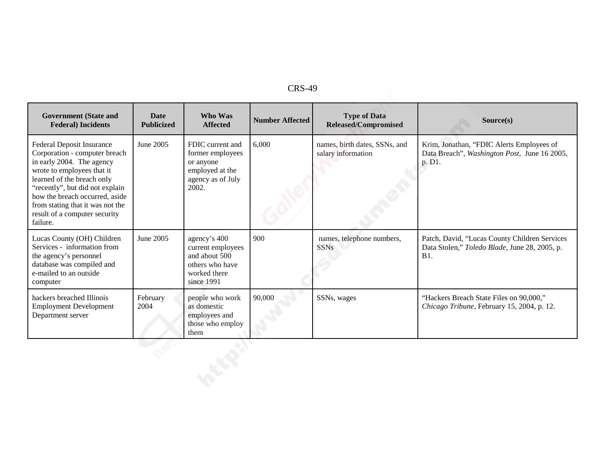| 'RS-<br>49 |  |
|------------|--|
|------------|--|

| $CRS-49$                                                                                                                                                                                                                                                                                                         |                                  |                                                                                                     |                        |                                                     |                                                                                                              |  |
|------------------------------------------------------------------------------------------------------------------------------------------------------------------------------------------------------------------------------------------------------------------------------------------------------------------|----------------------------------|-----------------------------------------------------------------------------------------------------|------------------------|-----------------------------------------------------|--------------------------------------------------------------------------------------------------------------|--|
| <b>Government</b> (State and<br><b>Federal</b> ) Incidents                                                                                                                                                                                                                                                       | <b>Date</b><br><b>Publicized</b> | Who Was<br><b>Affected</b>                                                                          | <b>Number Affected</b> | <b>Type of Data</b><br><b>Released/Compromised</b>  | Source(s)                                                                                                    |  |
| <b>Federal Deposit Insurance</b><br>Corporation - computer breach<br>in early 2004. The agency<br>wrote to employees that it<br>learned of the breach only<br>"recently", but did not explain<br>how the breach occurred, aside<br>from stating that it was not the<br>result of a computer security<br>failure. | June 2005                        | FDIC current and<br>former employees<br>or anyone<br>employed at the<br>agency as of July<br>2002.  | 6,000                  | names, birth dates, SSNs, and<br>salary information | Krim, Jonathan, "FDIC Alerts Employees of<br>Data Breach", Washington Post, June 16 2005,<br>p. D1.          |  |
| Lucas County (OH) Children<br>Services - information from<br>the agency's personnel<br>database was compiled and<br>e-mailed to an outside<br>computer                                                                                                                                                           | June 2005                        | agency's 400<br>current employees<br>and about 500<br>others who have<br>worked there<br>since 1991 | 900                    | names, telephone numbers,<br><b>SSNs</b>            | Patch, David, "Lucas County Children Services<br>Data Stolen," Toledo Blade, June 28, 2005, p.<br><b>B1.</b> |  |
| hackers breached Illinois<br><b>Employment Development</b><br>Department server                                                                                                                                                                                                                                  | February<br>2004                 | people who work<br>as domestic<br>employees and<br>those who employ<br>them                         | 90,000                 | SSNs, wages                                         | "Hackers Breach State Files on 90,000,"<br>Chicago Tribune, February 15, 2004, p. 12.                        |  |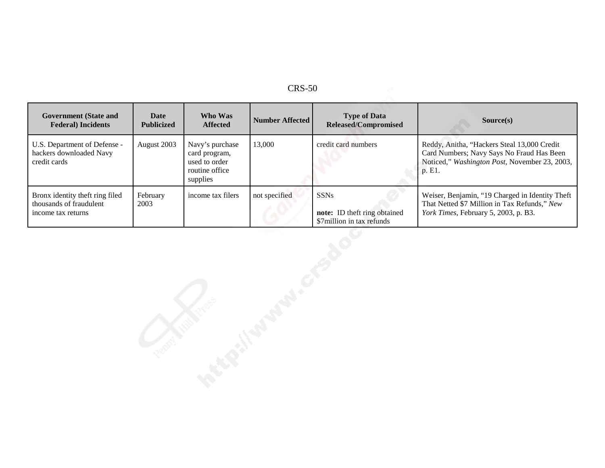| <b>Government (State and</b><br><b>Federal</b> ) Incidents                       | <b>Date</b><br><b>Publicized</b> | Who Was<br><b>Affected</b>                                                      | <b>Number Affected</b> | <b>Type of Data</b><br>Released/Compromised                              | Source(s)                                                                                                                                           |
|----------------------------------------------------------------------------------|----------------------------------|---------------------------------------------------------------------------------|------------------------|--------------------------------------------------------------------------|-----------------------------------------------------------------------------------------------------------------------------------------------------|
| U.S. Department of Defense -<br>hackers downloaded Navy<br>credit cards          | August 2003                      | Navy's purchase<br>card program,<br>used to order<br>routine office<br>supplies | 13,000                 | credit card numbers                                                      | Reddy, Anitha, "Hackers Steal 13,000 Credit<br>Card Numbers; Navy Says No Fraud Has Been<br>Noticed," Washington Post, November 23, 2003,<br>p. E1. |
| Bronx identity theft ring filed<br>thousands of fraudulent<br>income tax returns | February<br>2003                 | income tax filers                                                               | not specified          | <b>SSNs</b><br>note: ID theft ring obtained<br>\$7million in tax refunds | Weiser, Benjamin, "19 Charged in Identity Theft<br>That Netted \$7 Million in Tax Refunds," New<br>York Times, February 5, 2003, p. B3.             |
|                                                                                  |                                  |                                                                                 |                        |                                                                          |                                                                                                                                                     |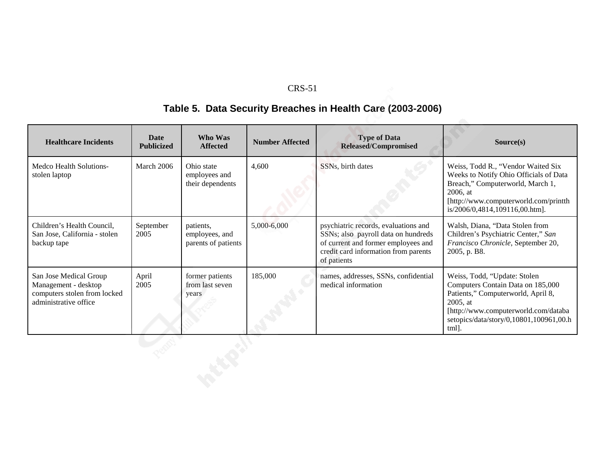### **Table 5. Data Security Breaches in Health Care (2003-2006)**

| <b>Healthcare Incidents</b>                                                                             | <b>Date</b><br><b>Publicized</b> | <b>Who Was</b><br><b>Affected</b>                  | <b>Number Affected</b> | <b>Type of Data</b><br><b>Released/Compromised</b>                                                                                                                        | Source(s)                                                                                                                                                                                                      |
|---------------------------------------------------------------------------------------------------------|----------------------------------|----------------------------------------------------|------------------------|---------------------------------------------------------------------------------------------------------------------------------------------------------------------------|----------------------------------------------------------------------------------------------------------------------------------------------------------------------------------------------------------------|
| Medco Health Solutions-<br>stolen laptop                                                                | March 2006                       | Ohio state<br>employees and<br>their dependents    | 4,600                  | SSNs, birth dates                                                                                                                                                         | Weiss, Todd R., "Vendor Waited Six<br>Weeks to Notify Ohio Officials of Data<br>Breach," Computerworld, March 1,<br>2006, at<br>[http://www.computerworld.com/printth<br>is/2006/0,4814,109116,00.htm].        |
| Children's Health Council,<br>San Jose, California - stolen<br>backup tape                              | September<br>2005                | patients,<br>employees, and<br>parents of patients | 5,000-6,000            | psychiatric records, evaluations and<br>SSNs; also payroll data on hundreds<br>of current and former employees and<br>credit card information from parents<br>of patients | Walsh, Diana, "Data Stolen from<br>Children's Psychiatric Center," San<br>Francisco Chronicle, September 20,<br>2005, p. B8.                                                                                   |
| San Jose Medical Group<br>Management - desktop<br>computers stolen from locked<br>administrative office | April<br>2005                    | former patients<br>from last seven<br>years        | 185,000                | names, addresses, SSNs, confidential<br>medical information                                                                                                               | Weiss, Todd, "Update: Stolen<br>Computers Contain Data on 185,000<br>Patients," Computerworld, April 8,<br>2005, at<br>[http://www.computerworld.com/databa<br>setopics/data/story/0,10801,100961,00.h<br>tml. |
|                                                                                                         |                                  |                                                    |                        |                                                                                                                                                                           |                                                                                                                                                                                                                |